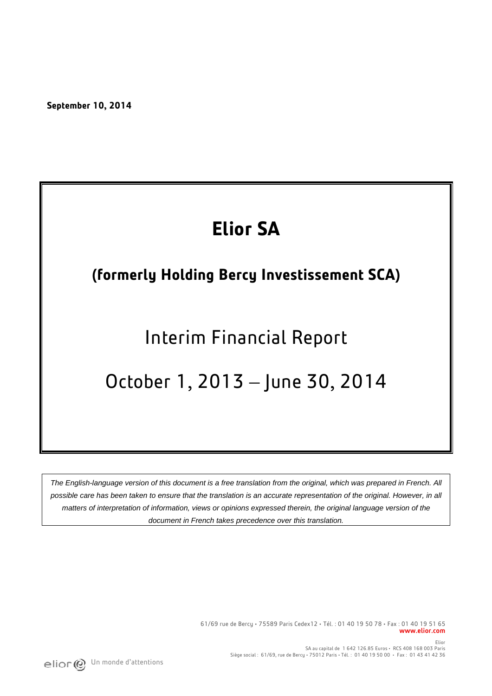**September 10, 2014** 

# **Elior SA**

## **(formerly Holding Bercy Investissement SCA)**

# Interim Financial Report

## October 1, 2013 – June 30, 2014

*The English-language version of this document is a free translation from the original, which was prepared in French. All possible care has been taken to ensure that the translation is an accurate representation of the original. However, in all matters of interpretation of information, views or opinions expressed therein, the original language version of the document in French takes precedence over this translation.*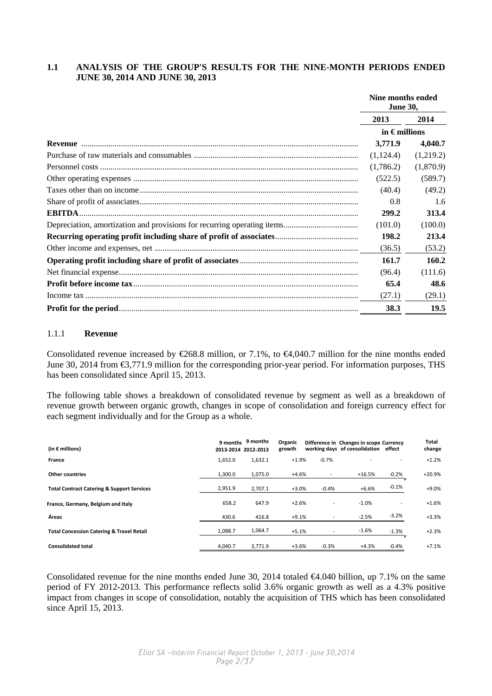### **1.1 ANALYSIS OF THE GROUP'S RESULTS FOR THE NINE-MONTH PERIODS ENDED JUNE 30, 2014 AND JUNE 30, 2013**

|               | Nine months ended<br><b>June 30,</b> |           |  |
|---------------|--------------------------------------|-----------|--|
|               | 2013                                 | 2014      |  |
|               | in $\epsilon$ millions               |           |  |
|               | 3,771.9                              | 4,040.7   |  |
|               | (1,124.4)                            | (1,219.2) |  |
|               | (1,786.2)                            | (1,870.9) |  |
|               | (522.5)                              | (589.7)   |  |
|               | (40.4)                               | (49.2)    |  |
|               | 0.8                                  | 1.6       |  |
| <b>EBITDA</b> | 299.2                                | 313.4     |  |
|               | (101.0)                              | (100.0)   |  |
|               | 198.2                                | 213.4     |  |
|               | (36.5)                               | (53.2)    |  |
|               | 161.7                                | 160.2     |  |
|               | (96.4)                               | (111.6)   |  |
|               | 65.4                                 | 48.6      |  |
|               | (27.1)                               | (29.1)    |  |
|               | 38.3                                 | 19.5      |  |

### 1.1.1 **Revenue**

Consolidated revenue increased by  $\epsilon$ 268.8 million, or 7.1%, to  $\epsilon$ 4,040.7 million for the nine months ended June 30, 2014 from €3,771.9 million for the corresponding prior-year period. For information purposes, THS has been consolidated since April 15, 2013.

The following table shows a breakdown of consolidated revenue by segment as well as a breakdown of revenue growth between organic growth, changes in scope of consolidation and foreign currency effect for each segment individually and for the Group as a whole.

| (in $\epsilon$ millions)                              | 2013-2014 2012-2013 | 9 months 9 months | Organic<br>growth |         | Difference in Changes in scope Currency<br>working days of consolidation effect |         | Total<br>change |
|-------------------------------------------------------|---------------------|-------------------|-------------------|---------|---------------------------------------------------------------------------------|---------|-----------------|
| France                                                | 1,652.0             | 1,632.1           | $+1.9%$           | $-0.7%$ |                                                                                 |         | $+1.2%$         |
| Other countries                                       | 1,300.0             | 1,075.0           | $+4.6%$           |         | $+16.5%$                                                                        | $-0.2%$ | $+20.9%$        |
| <b>Total Contract Catering &amp; Support Services</b> | 2,951.9             | 2,707.1           | $+3.0%$           | $-0.4%$ | $+6.6%$                                                                         | $-0.1%$ | $+9.0%$         |
| France, Germany, Belgium and Italy                    | 658.2               | 647.9             | $+2.6%$           |         | $-1.0%$                                                                         |         | $+1.6%$         |
| Áreas                                                 | 430.6               | 416.8             | $+9.1%$           |         | $-2.5%$                                                                         | $-3.2%$ | $+3.3%$         |
| <b>Total Concession Catering &amp; Travel Retail</b>  | 1,088.7             | 1,064.7           | $+5.1%$           |         | $-1.6%$                                                                         | $-1.3%$ | $+2.3%$         |
| <b>Consolidated total</b>                             | 4,040.7             | 3,771.9           | $+3.6%$           | $-0.3%$ | $+4.3%$                                                                         | $-0.4%$ | $+7.1%$         |

Consolidated revenue for the nine months ended June 30, 2014 totaled  $\bigoplus$  0.40 billion, up 7.1% on the same period of FY 2012-2013. This performance reflects solid 3.6% organic growth as well as a 4.3% positive impact from changes in scope of consolidation, notably the acquisition of THS which has been consolidated since April 15, 2013.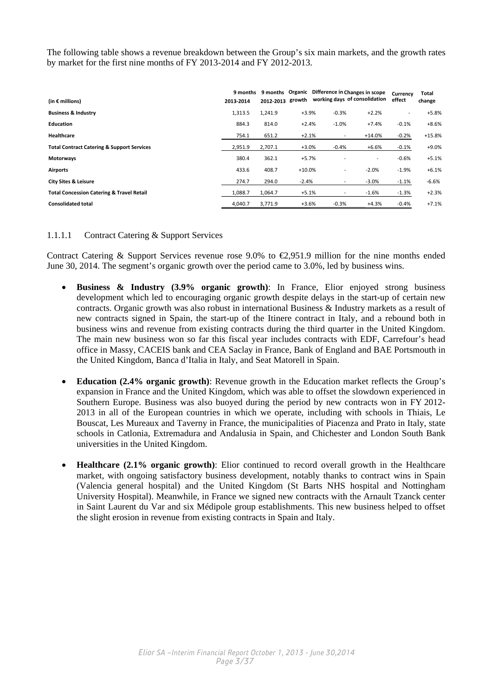The following table shows a revenue breakdown between the Group's six main markets, and the growth rates by market for the first nine months of FY 2013-2014 and FY 2012-2013.

| (in $\epsilon$ millions)                              | 9 months<br>2013-2014 | 2012-2013 |          |                          | 9 months Organic Difference in Changes in scope<br>growth working days of consolidation | Currency<br>effect       | Total<br>change |
|-------------------------------------------------------|-----------------------|-----------|----------|--------------------------|-----------------------------------------------------------------------------------------|--------------------------|-----------------|
| <b>Business &amp; Industry</b>                        | 1,313.5               | 1,241.9   | $+3.9%$  | $-0.3%$                  | $+2.2%$                                                                                 | $\overline{\phantom{a}}$ | $+5.8%$         |
| Education                                             | 884.3                 | 814.0     | $+2.4%$  | $-1.0%$                  | $+7.4%$                                                                                 | $-0.1%$                  | $+8.6%$         |
| Healthcare                                            | 754.1                 | 651.2     | $+2.1%$  | $\overline{\phantom{a}}$ | $+14.0%$                                                                                | $-0.2%$                  | $+15.8%$        |
| <b>Total Contract Catering &amp; Support Services</b> | 2,951.9               | 2,707.1   | $+3.0%$  | $-0.4%$                  | +6.6%                                                                                   | $-0.1%$                  | $+9.0%$         |
| Motorways                                             | 380.4                 | 362.1     | $+5.7%$  |                          | $\overline{\phantom{a}}$                                                                | $-0.6%$                  | $+5.1%$         |
| <b>Airports</b>                                       | 433.6                 | 408.7     | $+10.0%$ | $\overline{a}$           | $-2.0%$                                                                                 | $-1.9%$                  | $+6.1%$         |
| <b>City Sites &amp; Leisure</b>                       | 274.7                 | 294.0     | $-2.4%$  | $\overline{a}$           | $-3.0%$                                                                                 | $-1.1%$                  | $-6.6%$         |
| <b>Total Concession Catering &amp; Travel Retail</b>  | 1.088.7               | 1,064.7   | $+5.1%$  |                          | $-1.6%$                                                                                 | $-1.3%$                  | $+2.3%$         |
| <b>Consolidated total</b>                             | 4,040.7               | 3,771.9   | $+3.6%$  | $-0.3%$                  | $+4.3%$                                                                                 | $-0.4%$                  | $+7.1%$         |

### 1.1.1.1 Contract Catering & Support Services

Contract Catering & Support Services revenue rose 9.0% to  $\epsilon$ 2.951.9 million for the nine months ended June 30, 2014. The segment's organic growth over the period came to 3.0%, led by business wins.

- **Business & Industry (3.9% organic growth)**: In France, Elior enjoyed strong business development which led to encouraging organic growth despite delays in the start-up of certain new contracts. Organic growth was also robust in international Business & Industry markets as a result of new contracts signed in Spain, the start-up of the Itinere contract in Italy, and a rebound both in business wins and revenue from existing contracts during the third quarter in the United Kingdom. The main new business won so far this fiscal year includes contracts with EDF, Carrefour's head office in Massy, CACEIS bank and CEA Saclay in France, Bank of England and BAE Portsmouth in the United Kingdom, Banca d'Italia in Italy, and Seat Matorell in Spain.
- **Education (2.4% organic growth)**: Revenue growth in the Education market reflects the Group's expansion in France and the United Kingdom, which was able to offset the slowdown experienced in Southern Europe. Business was also buoyed during the period by new contracts won in FY 2012- 2013 in all of the European countries in which we operate, including with schools in Thiais, Le Bouscat, Les Mureaux and Taverny in France, the municipalities of Piacenza and Prato in Italy, state schools in Catlonia, Extremadura and Andalusia in Spain, and Chichester and London South Bank universities in the United Kingdom.
- **Healthcare (2.1% organic growth)**: Elior continued to record overall growth in the Healthcare market, with ongoing satisfactory business development, notably thanks to contract wins in Spain (Valencia general hospital) and the United Kingdom (St Barts NHS hospital and Nottingham University Hospital). Meanwhile, in France we signed new contracts with the Arnault Tzanck center in Saint Laurent du Var and six Médipole group establishments. This new business helped to offset the slight erosion in revenue from existing contracts in Spain and Italy.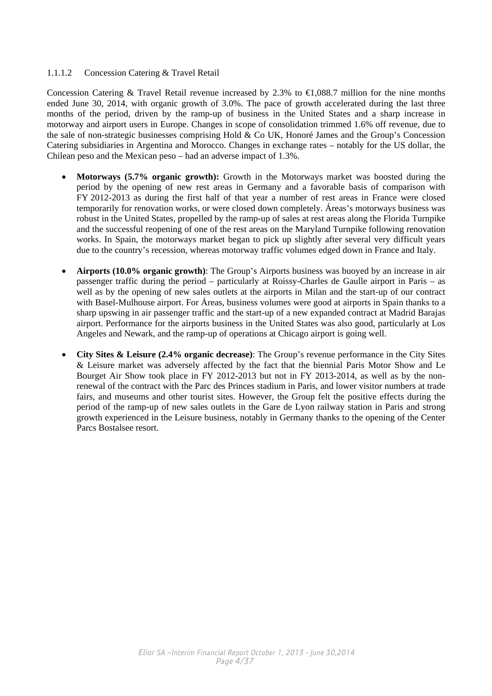### 1.1.1.2 Concession Catering & Travel Retail

Concession Catering & Travel Retail revenue increased by 2.3% to  $\bigoplus$ , 088.7 million for the nine months ended June 30, 2014, with organic growth of 3.0%. The pace of growth accelerated during the last three months of the period, driven by the ramp-up of business in the United States and a sharp increase in motorway and airport users in Europe. Changes in scope of consolidation trimmed 1.6% off revenue, due to the sale of non-strategic businesses comprising Hold & Co UK, Honoré James and the Group's Concession Catering subsidiaries in Argentina and Morocco. Changes in exchange rates – notably for the US dollar, the Chilean peso and the Mexican peso – had an adverse impact of 1.3%.

- **Motorways (5.7% organic growth):** Growth in the Motorways market was boosted during the period by the opening of new rest areas in Germany and a favorable basis of comparison with FY 2012-2013 as during the first half of that year a number of rest areas in France were closed temporarily for renovation works, or were closed down completely. Áreas's motorways business was robust in the United States, propelled by the ramp-up of sales at rest areas along the Florida Turnpike and the successful reopening of one of the rest areas on the Maryland Turnpike following renovation works. In Spain, the motorways market began to pick up slightly after several very difficult years due to the country's recession, whereas motorway traffic volumes edged down in France and Italy.
- **Airports (10.0% organic growth)**: The Group's Airports business was buoyed by an increase in air passenger traffic during the period – particularly at Roissy-Charles de Gaulle airport in Paris – as well as by the opening of new sales outlets at the airports in Milan and the start-up of our contract with Basel-Mulhouse airport. For Áreas, business volumes were good at airports in Spain thanks to a sharp upswing in air passenger traffic and the start-up of a new expanded contract at Madrid Barajas airport. Performance for the airports business in the United States was also good, particularly at Los Angeles and Newark, and the ramp-up of operations at Chicago airport is going well.
- **City Sites & Leisure (2.4% organic decrease)**: The Group's revenue performance in the City Sites & Leisure market was adversely affected by the fact that the biennial Paris Motor Show and Le Bourget Air Show took place in FY 2012-2013 but not in FY 2013-2014, as well as by the nonrenewal of the contract with the Parc des Princes stadium in Paris, and lower visitor numbers at trade fairs, and museums and other tourist sites. However, the Group felt the positive effects during the period of the ramp-up of new sales outlets in the Gare de Lyon railway station in Paris and strong growth experienced in the Leisure business, notably in Germany thanks to the opening of the Center Parcs Bostalsee resort.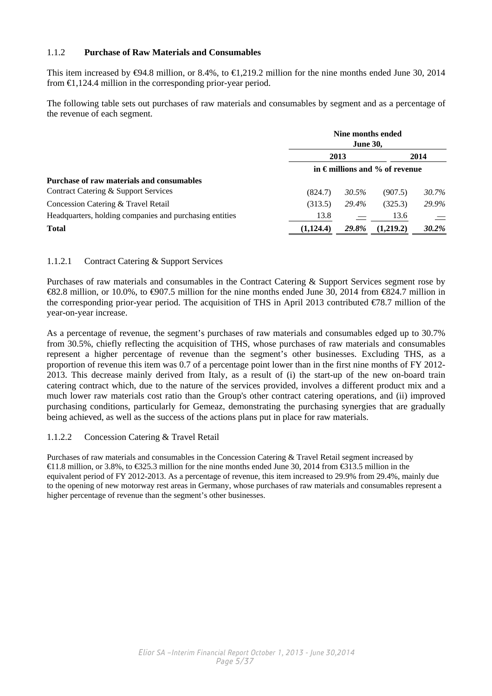### 1.1.2 **Purchase of Raw Materials and Consumables**

This item increased by  $\Theta$ 4.8 million, or 8.4%, to  $\Theta$ , 219.2 million for the nine months ended June 30, 2014 from  $\in$ 1,124.4 million in the corresponding prior-year period.

The following table sets out purchases of raw materials and consumables by segment and as a percentage of the revenue of each segment.

|                                                         |           | Nine months ended<br><b>June 30,</b> |                                         |              |  |  |  |
|---------------------------------------------------------|-----------|--------------------------------------|-----------------------------------------|--------------|--|--|--|
|                                                         |           | 2013                                 |                                         | 2014         |  |  |  |
|                                                         |           |                                      | in $\epsilon$ millions and % of revenue |              |  |  |  |
| Purchase of raw materials and consumables               |           |                                      |                                         |              |  |  |  |
| Contract Catering & Support Services                    | (824.7)   | 30.5%                                | (907.5)                                 | 30.7%        |  |  |  |
| Concession Catering & Travel Retail                     | (313.5)   | 29.4%                                | (325.3)                                 | 29.9%        |  |  |  |
| Headquarters, holding companies and purchasing entities | 13.8      |                                      | 13.6                                    | $=$          |  |  |  |
| <b>Total</b>                                            | (1,124.4) | <b>29.8%</b>                         | (1,219.2)                               | <b>30.2%</b> |  |  |  |

### 1.1.2.1 Contract Catering & Support Services

Purchases of raw materials and consumables in the Contract Catering & Support Services segment rose by €82.8 million, or 10.0%, to €907.5 million for the nine months ended June 30, 2014 from €824.7 million in the corresponding prior-year period. The acquisition of THS in April 2013 contributed  $\epsilon$ 78.7 million of the year-on-year increase.

As a percentage of revenue, the segment's purchases of raw materials and consumables edged up to 30.7% from 30.5%, chiefly reflecting the acquisition of THS, whose purchases of raw materials and consumables represent a higher percentage of revenue than the segment's other businesses. Excluding THS, as a proportion of revenue this item was 0.7 of a percentage point lower than in the first nine months of FY 2012- 2013. This decrease mainly derived from Italy, as a result of (i) the start-up of the new on-board train catering contract which, due to the nature of the services provided, involves a different product mix and a much lower raw materials cost ratio than the Group's other contract catering operations, and (ii) improved purchasing conditions, particularly for Gemeaz, demonstrating the purchasing synergies that are gradually being achieved, as well as the success of the actions plans put in place for raw materials.

### 1.1.2.2 Concession Catering & Travel Retail

Purchases of raw materials and consumables in the Concession Catering & Travel Retail segment increased by  $\triangleleft$ 1.8 million, or 3.8%, to  $\triangleleft$ 325.3 million for the nine months ended June 30, 2014 from  $\triangleleft$ 313.5 million in the equivalent period of FY 2012-2013. As a percentage of revenue, this item increased to 29.9% from 29.4%, mainly due to the opening of new motorway rest areas in Germany, whose purchases of raw materials and consumables represent a higher percentage of revenue than the segment's other businesses.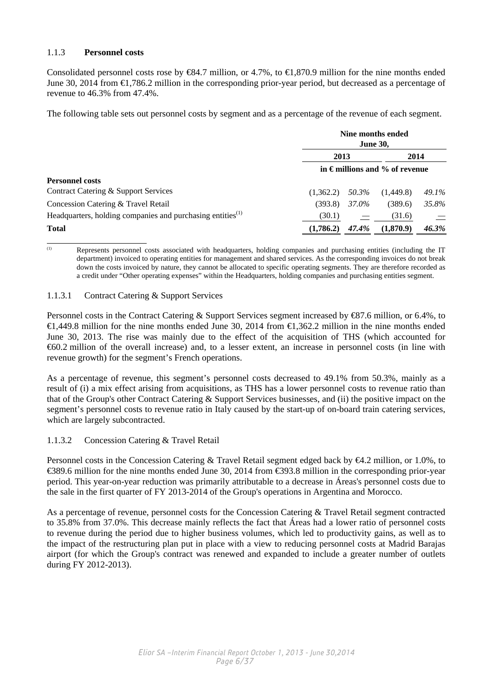### 1.1.3 **Personnel costs**

Consolidated personnel costs rose by  $\infty$ 4.7 million, or 4.7%, to  $\infty$ ,870.9 million for the nine months ended June 30, 2014 from €1,786.2 million in the corresponding prior-year period, but decreased as a percentage of revenue to 46.3% from 47.4%.

The following table sets out personnel costs by segment and as a percentage of the revenue of each segment.

|                                                                        |           |       | Nine months ended<br><b>June 30,</b>    |       |
|------------------------------------------------------------------------|-----------|-------|-----------------------------------------|-------|
|                                                                        | 2013      |       | 2014                                    |       |
|                                                                        |           |       | in $\epsilon$ millions and % of revenue |       |
| <b>Personnel costs</b>                                                 |           |       |                                         |       |
| Contract Catering & Support Services                                   | (1.362.2) | 50.3% | (1,449.8)                               | 49.1% |
| Concession Catering & Travel Retail                                    | (393.8)   | 37.0% | (389.6)                                 | 35.8% |
| Headquarters, holding companies and purchasing entities <sup>(1)</sup> | (30.1)    |       | (31.6)                                  |       |
| <b>Total</b>                                                           | (1,786.2) | 47.4% | (1,870.9)                               | 46.3% |

<sup>(1)</sup> Represents personnel costs associated with headquarters, holding companies and purchasing entities (including the IT department) invoiced to operating entities for management and shared services. As the corresponding invoices do not break down the costs invoiced by nature, they cannot be allocated to specific operating segments. They are therefore recorded as a credit under "Other operating expenses" within the Headquarters, holding companies and purchasing entities segment.

### 1.1.3.1 Contract Catering & Support Services

Personnel costs in the Contract Catering & Support Services segment increased by €87.6 million, or 6.4%, to €1,449.8 million for the nine months ended June 30, 2014 from €1,362.2 million in the nine months ended June 30, 2013. The rise was mainly due to the effect of the acquisition of THS (which accounted for €60.2 million of the overall increase) and, to a lesser extent, an increase in personnel costs (in line with revenue growth) for the segment's French operations.

As a percentage of revenue, this segment's personnel costs decreased to 49.1% from 50.3%, mainly as a result of (i) a mix effect arising from acquisitions, as THS has a lower personnel costs to revenue ratio than that of the Group's other Contract Catering & Support Services businesses, and (ii) the positive impact on the segment's personnel costs to revenue ratio in Italy caused by the start-up of on-board train catering services, which are largely subcontracted.

### 1.1.3.2 Concession Catering & Travel Retail

Personnel costs in the Concession Catering & Travel Retail segment edged back by €4.2 million, or 1.0%, to €389.6 million for the nine months ended June 30, 2014 from €393.8 million in the corresponding prior-year period. This year-on-year reduction was primarily attributable to a decrease in Áreas's personnel costs due to the sale in the first quarter of FY 2013-2014 of the Group's operations in Argentina and Morocco.

As a percentage of revenue, personnel costs for the Concession Catering & Travel Retail segment contracted to 35.8% from 37.0%. This decrease mainly reflects the fact that Áreas had a lower ratio of personnel costs to revenue during the period due to higher business volumes, which led to productivity gains, as well as to the impact of the restructuring plan put in place with a view to reducing personnel costs at Madrid Barajas airport (for which the Group's contract was renewed and expanded to include a greater number of outlets during FY 2012-2013).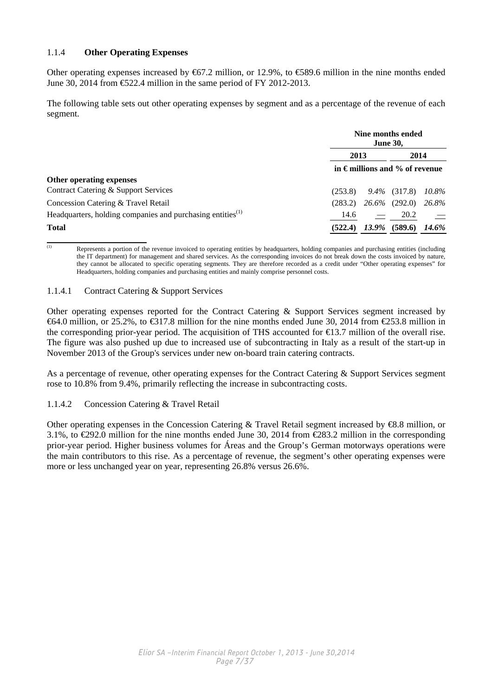### 1.1.4 **Other Operating Expenses**

Other operating expenses increased by  $667.2$  million, or 12.9%, to  $6689.6$  million in the nine months ended June 30, 2014 from €522.4 million in the same period of FY 2012-2013.

The following table sets out other operating expenses by segment and as a percentage of the revenue of each segment.

|                                                                        |         | <b>June 30,</b> | Nine months ended                       |       |
|------------------------------------------------------------------------|---------|-----------------|-----------------------------------------|-------|
|                                                                        | 2013    |                 | 2014                                    |       |
|                                                                        |         |                 | in $\epsilon$ millions and % of revenue |       |
| Other operating expenses                                               |         |                 |                                         |       |
| Contract Catering & Support Services                                   | (253.8) |                 | $9.4\%$ (317.8)                         | 10.8% |
| Concession Catering & Travel Retail                                    | (283.2) |                 | $26.6\%$ (292.0)                        | 26.8% |
| Headquarters, holding companies and purchasing entities <sup>(1)</sup> | 14.6    |                 | 20.2                                    |       |
| <b>Total</b>                                                           | (522.4) | 13.9%           | (589.6)                                 | 14.6% |

<sup>(1)</sup> Represents a portion of the revenue invoiced to operating entities by headquarters, holding companies and purchasing entities (including the IT department) for management and shared services. As the corresponding invoices do not break down the costs invoiced by nature, they cannot be allocated to specific operating segments. They are therefore recorded as a credit under "Other operating expenses" for Headquarters, holding companies and purchasing entities and mainly comprise personnel costs.

### 1.1.4.1 Contract Catering & Support Services

Other operating expenses reported for the Contract Catering & Support Services segment increased by  $\text{\textsterling}64.0$  million, or 25.2%, to  $\text{\textsterling}317.8$  million for the nine months ended June 30, 2014 from  $\text{\textsterling}53.8$  million in the corresponding prior-year period. The acquisition of THS accounted for  $\epsilon$ 13.7 million of the overall rise. The figure was also pushed up due to increased use of subcontracting in Italy as a result of the start-up in November 2013 of the Group's services under new on-board train catering contracts.

As a percentage of revenue, other operating expenses for the Contract Catering & Support Services segment rose to 10.8% from 9.4%, primarily reflecting the increase in subcontracting costs.

1.1.4.2 Concession Catering & Travel Retail

Other operating expenses in the Concession Catering & Travel Retail segment increased by  $\bigoplus$ 8.8 million, or 3.1%, to €292.0 million for the nine months ended June 30, 2014 from €283.2 million in the corresponding prior-year period. Higher business volumes for Áreas and the Group's German motorways operations were the main contributors to this rise. As a percentage of revenue, the segment's other operating expenses were more or less unchanged year on year, representing 26.8% versus 26.6%.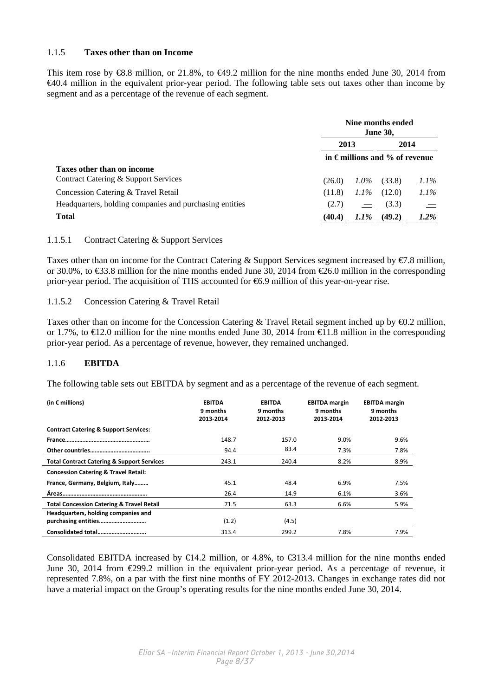### 1.1.5 **Taxes other than on Income**

This item rose by €8.8 million, or 21.8%, to €49.2 million for the nine months ended June 30, 2014 from €40.4 million in the equivalent prior-year period. The following table sets out taxes other than income by segment and as a percentage of the revenue of each segment.

|                                                         |        |         | Nine months ended<br><b>June 30,</b>    |         |
|---------------------------------------------------------|--------|---------|-----------------------------------------|---------|
|                                                         | 2013   |         | 2014                                    |         |
|                                                         |        |         | in $\epsilon$ millions and % of revenue |         |
| Taxes other than on income                              |        |         |                                         |         |
| Contract Catering & Support Services                    | (26.0) | $1.0\%$ | (33.8)                                  | $1.1\%$ |
| Concession Catering & Travel Retail                     | (11.8) | $1.1\%$ | (12.0)                                  | $1.1\%$ |
| Headquarters, holding companies and purchasing entities | (2.7)  |         | (3.3)                                   |         |
| <b>Total</b>                                            | (40.4) | $1.1\%$ | (49.2)                                  | $1.2\%$ |

### 1.1.5.1 Contract Catering & Support Services

Taxes other than on income for the Contract Catering & Support Services segment increased by  $\epsilon/7.8$  million, or 30.0%, to  $\text{\textsterling}3.8$  million for the nine months ended June 30, 2014 from  $\text{\textsterling}6.0$  million in the corresponding prior-year period. The acquisition of THS accounted for €6.9 million of this year-on-year rise.

### 1.1.5.2 Concession Catering & Travel Retail

Taxes other than on income for the Concession Catering & Travel Retail segment inched up by €0.2 million, or 1.7%, to  $\infty$  2.0 million for the nine months ended June 30, 2014 from  $\infty$  1.8 million in the corresponding prior-year period. As a percentage of revenue, however, they remained unchanged.

### 1.1.6 **EBITDA**

The following table sets out EBITDA by segment and as a percentage of the revenue of each segment.

| (in $\epsilon$ millions)                              | <b>EBITDA</b><br>9 months<br>2013-2014 | <b>EBITDA</b><br>9 months<br>2012-2013 | <b>EBITDA</b> margin<br>9 months<br>2013-2014 | <b>EBITDA</b> margin<br>9 months<br>2012-2013 |
|-------------------------------------------------------|----------------------------------------|----------------------------------------|-----------------------------------------------|-----------------------------------------------|
| <b>Contract Catering &amp; Support Services:</b>      |                                        |                                        |                                               |                                               |
|                                                       | 148.7                                  | 157.0                                  | 9.0%                                          | 9.6%                                          |
|                                                       | 94.4                                   | 83.4                                   | 7.3%                                          | 7.8%                                          |
| <b>Total Contract Catering &amp; Support Services</b> | 243.1                                  | 240.4                                  | 8.2%                                          | 8.9%                                          |
| <b>Concession Catering &amp; Travel Retail:</b>       |                                        |                                        |                                               |                                               |
| France, Germany, Belgium, Italy                       | 45.1                                   | 48.4                                   | 6.9%                                          | 7.5%                                          |
|                                                       | 26.4                                   | 14.9                                   | 6.1%                                          | 3.6%                                          |
| <b>Total Concession Catering &amp; Travel Retail</b>  | 71.5                                   | 63.3                                   | 6.6%                                          | 5.9%                                          |
| Headquarters, holding companies and                   |                                        |                                        |                                               |                                               |
|                                                       | (1.2)                                  | (4.5)                                  |                                               |                                               |
| Consolidated total                                    | 313.4                                  | 299.2                                  | 7.8%                                          | 7.9%                                          |

Consolidated EBITDA increased by  $\bigoplus$  4.2 million, or 4.8%, to  $\bigoplus$  313.4 million for the nine months ended June 30, 2014 from €299.2 million in the equivalent prior-year period. As a percentage of revenue, it represented 7.8%, on a par with the first nine months of FY 2012-2013. Changes in exchange rates did not have a material impact on the Group's operating results for the nine months ended June 30, 2014.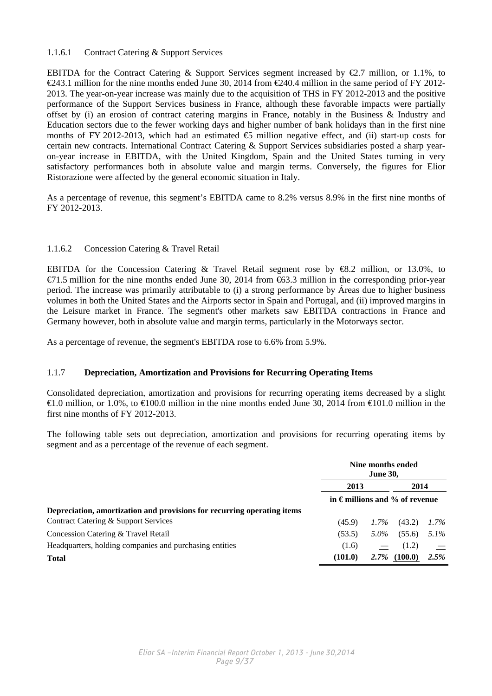### 1.1.6.1 Contract Catering & Support Services

EBITDA for the Contract Catering & Support Services segment increased by  $\epsilon$ 2.7 million, or 1.1%, to  $\in \{243.1 \text{ million for the nine months ended June } 30, 2014 \text{ from } \in \{240.4 \text{ million in the same period of FY } 2012-$ 2013. The year-on-year increase was mainly due to the acquisition of THS in FY 2012-2013 and the positive performance of the Support Services business in France, although these favorable impacts were partially offset by (i) an erosion of contract catering margins in France, notably in the Business & Industry and Education sectors due to the fewer working days and higher number of bank holidays than in the first nine months of FY 2012-2013, which had an estimated  $\bigoplus$  million negative effect, and (ii) start-up costs for certain new contracts. International Contract Catering & Support Services subsidiaries posted a sharp yearon-year increase in EBITDA, with the United Kingdom, Spain and the United States turning in very satisfactory performances both in absolute value and margin terms. Conversely, the figures for Elior Ristorazione were affected by the general economic situation in Italy.

As a percentage of revenue, this segment's EBITDA came to 8.2% versus 8.9% in the first nine months of FY 2012-2013.

### 1.1.6.2 Concession Catering & Travel Retail

EBITDA for the Concession Catering & Travel Retail segment rose by €8.2 million, or 13.0%, to  $\epsilon$ 71.5 million for the nine months ended June 30, 2014 from  $\epsilon$ 63.3 million in the corresponding prior-year period. The increase was primarily attributable to (i) a strong performance by Áreas due to higher business volumes in both the United States and the Airports sector in Spain and Portugal, and (ii) improved margins in the Leisure market in France. The segment's other markets saw EBITDA contractions in France and Germany however, both in absolute value and margin terms, particularly in the Motorways sector.

As a percentage of revenue, the segment's EBITDA rose to 6.6% from 5.9%.

### 1.1.7 **Depreciation, Amortization and Provisions for Recurring Operating Items**

Consolidated depreciation, amortization and provisions for recurring operating items decreased by a slight  $\bigoplus$  0.0 million, or 1.0%, to  $\bigoplus$  00.0 million in the nine months ended June 30, 2014 from  $\bigoplus$  01.0 million in the first nine months of FY 2012-2013.

The following table sets out depreciation, amortization and provisions for recurring operating items by segment and as a percentage of the revenue of each segment.

|                                                                         |                               | Nine months ended<br><b>June 30,</b> |                 |         |
|-------------------------------------------------------------------------|-------------------------------|--------------------------------------|-----------------|---------|
|                                                                         | 2013                          |                                      | 2014            |         |
|                                                                         | in €millions and % of revenue |                                      |                 |         |
| Depreciation, amortization and provisions for recurring operating items |                               |                                      |                 |         |
| Contract Catering & Support Services                                    | (45.9)                        | $1.7\%$                              | (43.2)          | $1.7\%$ |
| Concession Catering & Travel Retail                                     | (53.5)                        | 5.0%                                 | (55.6)          | $5.1\%$ |
| Headquarters, holding companies and purchasing entities                 | (1.6)                         |                                      | (1.2)           |         |
| <b>Total</b>                                                            | (101.0)                       |                                      | $2.7\%$ (100.0) | 2.5%    |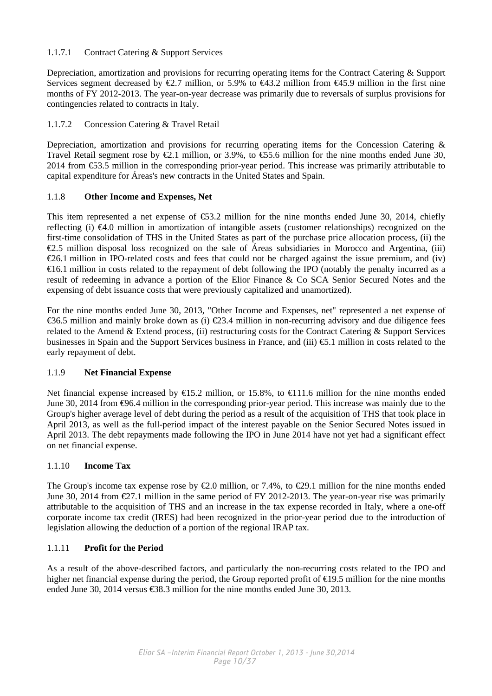### 1.1.7.1 Contract Catering & Support Services

Depreciation, amortization and provisions for recurring operating items for the Contract Catering & Support Services segment decreased by  $\epsilon 2.7$  million, or 5.9% to  $\epsilon 43.2$  million from  $\epsilon 45.9$  million in the first nine months of FY 2012-2013. The year-on-year decrease was primarily due to reversals of surplus provisions for contingencies related to contracts in Italy.

### 1.1.7.2 Concession Catering & Travel Retail

Depreciation, amortization and provisions for recurring operating items for the Concession Catering & Travel Retail segment rose by  $\mathcal{Q}_1$  million, or 3.9%, to  $\mathcal{Q}_2$ 5.6 million for the nine months ended June 30, 2014 from €53.5 million in the corresponding prior-year period. This increase was primarily attributable to capital expenditure for Áreas's new contracts in the United States and Spain.

### 1.1.8 **Other Income and Expenses, Net**

This item represented a net expense of  $\text{\textsterling}3.2$  million for the nine months ended June 30, 2014, chiefly reflecting (i)  $\epsilon 4.0$  million in amortization of intangible assets (customer relationships) recognized on the first-time consolidation of THS in the United States as part of the purchase price allocation process, (ii) the  $\epsilon$ 2.5 million disposal loss recognized on the sale of Áreas subsidiaries in Morocco and Argentina, (iii)  $\epsilon$ 26.1 million in IPO-related costs and fees that could not be charged against the issue premium, and (iv) €16.1 million in costs related to the repayment of debt following the IPO (notably the penalty incurred as a result of redeeming in advance a portion of the Elior Finance & Co SCA Senior Secured Notes and the expensing of debt issuance costs that were previously capitalized and unamortized).

For the nine months ended June 30, 2013, "Other Income and Expenses, net" represented a net expense of €36.5 million and mainly broke down as (i)  $€23.4$  million in non-recurring advisory and due diligence fees related to the Amend & Extend process, (ii) restructuring costs for the Contract Catering & Support Services businesses in Spain and the Support Services business in France, and (iii) €5.1 million in costs related to the early repayment of debt.

### 1.1.9 **Net Financial Expense**

Net financial expense increased by  $E$ 15.2 million, or 15.8%, to  $E$ 11.6 million for the nine months ended June 30, 2014 from €96.4 million in the corresponding prior-year period. This increase was mainly due to the Group's higher average level of debt during the period as a result of the acquisition of THS that took place in April 2013, as well as the full-period impact of the interest payable on the Senior Secured Notes issued in April 2013. The debt repayments made following the IPO in June 2014 have not yet had a significant effect on net financial expense.

### 1.1.10 **Income Tax**

The Group's income tax expense rose by  $\epsilon 2.0$  million, or 7.4%, to  $\epsilon 29.1$  million for the nine months ended June 30, 2014 from  $\epsilon 27.1$  million in the same period of FY 2012-2013. The year-on-year rise was primarily attributable to the acquisition of THS and an increase in the tax expense recorded in Italy, where a one-off corporate income tax credit (IRES) had been recognized in the prior-year period due to the introduction of legislation allowing the deduction of a portion of the regional IRAP tax.

### 1.1.11 **Profit for the Period**

As a result of the above-described factors, and particularly the non-recurring costs related to the IPO and higher net financial expense during the period, the Group reported profit of €19.5 million for the nine months ended June 30, 2014 versus  $\text{\textsterling}88.3$  million for the nine months ended June 30, 2013.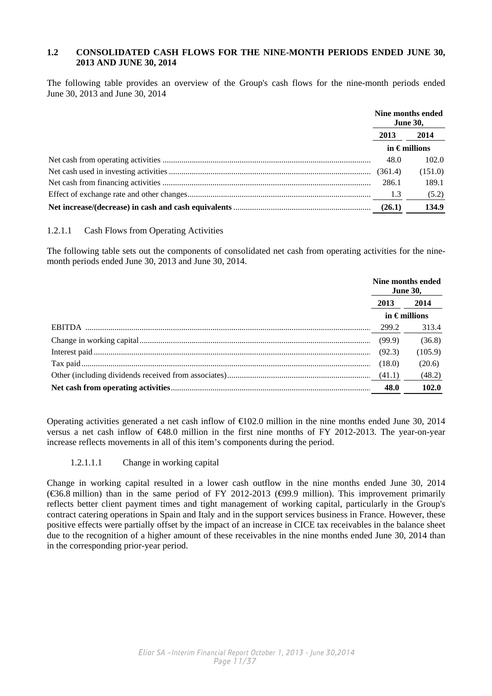### **1.2 CONSOLIDATED CASH FLOWS FOR THE NINE-MONTH PERIODS ENDED JUNE 30, 2013 AND JUNE 30, 2014**

The following table provides an overview of the Group's cash flows for the nine-month periods ended June 30, 2013 and June 30, 2014

|         | Nine months ended<br><b>June 30,</b> |
|---------|--------------------------------------|
| 2013    | 2014                                 |
|         | in $\epsilon$ millions               |
| 48.0    | 102.0                                |
| (361.4) | (151.0)                              |
| 286.1   | 189.1                                |
| 1.3     | (5.2)                                |
| (26.1)  | 134.9                                |

### 1.2.1.1 Cash Flows from Operating Activities

The following table sets out the components of consolidated net cash from operating activities for the ninemonth periods ended June 30, 2013 and June 30, 2014.

|      | Nine months ended<br><b>June 30,</b> |
|------|--------------------------------------|
| 2013 | 2014                                 |
|      | in $\epsilon$ millions               |
|      | 313.4                                |
|      | (36.8)                               |
|      | (105.9)                              |
|      | (20.6)                               |
|      | (48.2)                               |
| 48.0 | 102.0                                |

Operating activities generated a net cash inflow of  $\epsilon 02.0$  million in the nine months ended June 30, 2014 versus a net cash inflow of €48.0 million in the first nine months of FY 2012-2013. The year-on-year increase reflects movements in all of this item's components during the period.

### 1.2.1.1.1 Change in working capital

Change in working capital resulted in a lower cash outflow in the nine months ended June 30, 2014 ( $\epsilon$ 36.8 million) than in the same period of FY 2012-2013 ( $\epsilon$ 99.9 million). This improvement primarily reflects better client payment times and tight management of working capital, particularly in the Group's contract catering operations in Spain and Italy and in the support services business in France. However, these positive effects were partially offset by the impact of an increase in CICE tax receivables in the balance sheet due to the recognition of a higher amount of these receivables in the nine months ended June 30, 2014 than in the corresponding prior-year period.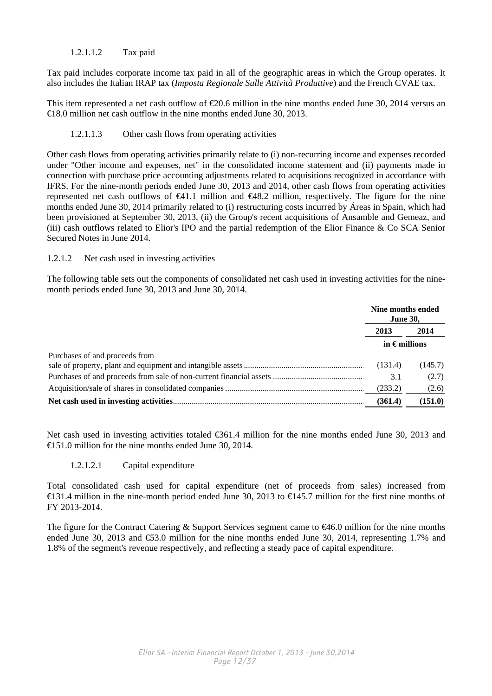### 1.2.1.1.2 Tax paid

Tax paid includes corporate income tax paid in all of the geographic areas in which the Group operates. It also includes the Italian IRAP tax (*Imposta Regionale Sulle Attività Produttive*) and the French CVAE tax.

This item represented a net cash outflow of €20.6 million in the nine months ended June 30, 2014 versus an €18.0 million net cash outflow in the nine months ended June 30, 2013.

### 1.2.1.1.3 Other cash flows from operating activities

Other cash flows from operating activities primarily relate to (i) non-recurring income and expenses recorded under "Other income and expenses, net" in the consolidated income statement and (ii) payments made in connection with purchase price accounting adjustments related to acquisitions recognized in accordance with IFRS. For the nine-month periods ended June 30, 2013 and 2014, other cash flows from operating activities represented net cash outflows of  $\epsilon 41.1$  million and  $\epsilon 48.2$  million, respectively. The figure for the nine months ended June 30, 2014 primarily related to (i) restructuring costs incurred by Áreas in Spain, which had been provisioned at September 30, 2013, (ii) the Group's recent acquisitions of Ansamble and Gemeaz, and (iii) cash outflows related to Elior's IPO and the partial redemption of the Elior Finance & Co SCA Senior Secured Notes in June 2014.

### 1.2.1.2 Net cash used in investing activities

The following table sets out the components of consolidated net cash used in investing activities for the ninemonth periods ended June 30, 2013 and June 30, 2014.

|                                | Nine months ended<br><b>June 30,</b> |         |  |
|--------------------------------|--------------------------------------|---------|--|
|                                | 2013                                 | 2014    |  |
|                                | in $\epsilon$ millions               |         |  |
| Purchases of and proceeds from |                                      |         |  |
|                                | (131.4)                              | (145.7) |  |
|                                | 3.1                                  | (2.7)   |  |
|                                | (233.2)                              | (2.6)   |  |
|                                | (361.4)                              | (151.0) |  |

Net cash used in investing activities totaled €361.4 million for the nine months ended June 30, 2013 and €151.0 million for the nine months ended June 30, 2014.

### 1.2.1.2.1 Capital expenditure

Total consolidated cash used for capital expenditure (net of proceeds from sales) increased from  $\in$  31.4 million in the nine-month period ended June 30, 2013 to  $\in$  45.7 million for the first nine months of FY 2013-2014.

The figure for the Contract Catering & Support Services segment came to  $\epsilon 46.0$  million for the nine months ended June 30, 2013 and €53.0 million for the nine months ended June 30, 2014, representing 1.7% and 1.8% of the segment's revenue respectively, and reflecting a steady pace of capital expenditure.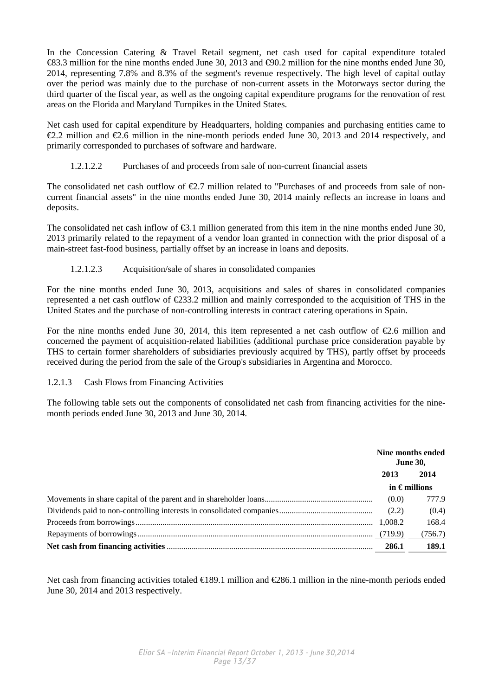In the Concession Catering & Travel Retail segment, net cash used for capital expenditure totaled €83.3 million for the nine months ended June 30, 2013 and €90.2 million for the nine months ended June 30, 2014, representing 7.8% and 8.3% of the segment's revenue respectively. The high level of capital outlay over the period was mainly due to the purchase of non-current assets in the Motorways sector during the third quarter of the fiscal year, as well as the ongoing capital expenditure programs for the renovation of rest areas on the Florida and Maryland Turnpikes in the United States.

Net cash used for capital expenditure by Headquarters, holding companies and purchasing entities came to  $\epsilon$ 2.2 million and  $\epsilon$ 2.6 million in the nine-month periods ended June 30, 2013 and 2014 respectively, and primarily corresponded to purchases of software and hardware.

### 1.2.1.2.2 Purchases of and proceeds from sale of non-current financial assets

The consolidated net cash outflow of  $\epsilon 2.7$  million related to "Purchases of and proceeds from sale of noncurrent financial assets" in the nine months ended June 30, 2014 mainly reflects an increase in loans and deposits.

The consolidated net cash inflow of  $\epsilon 3.1$  million generated from this item in the nine months ended June 30, 2013 primarily related to the repayment of a vendor loan granted in connection with the prior disposal of a main-street fast-food business, partially offset by an increase in loans and deposits.

### 1.2.1.2.3 Acquisition/sale of shares in consolidated companies

For the nine months ended June 30, 2013, acquisitions and sales of shares in consolidated companies represented a net cash outflow of €233.2 million and mainly corresponded to the acquisition of THS in the United States and the purchase of non-controlling interests in contract catering operations in Spain.

For the nine months ended June 30, 2014, this item represented a net cash outflow of  $\epsilon$ 2.6 million and concerned the payment of acquisition-related liabilities (additional purchase price consideration payable by THS to certain former shareholders of subsidiaries previously acquired by THS), partly offset by proceeds received during the period from the sale of the Group's subsidiaries in Argentina and Morocco.

### 1.2.1.3 Cash Flows from Financing Activities

The following table sets out the components of consolidated net cash from financing activities for the ninemonth periods ended June 30, 2013 and June 30, 2014.

|         | Nine months ended<br><b>June 30,</b> |
|---------|--------------------------------------|
| 2013    | 2014                                 |
|         | in $\epsilon$ millions               |
| (0.0)   | 777.9                                |
| (2.2)   | (0.4)                                |
| 1.008.2 | 168.4                                |
| (719.9) | (756.7)                              |
| 286.1   | 189.1                                |

Net cash from financing activities totaled €189.1 million and €286.1 million in the nine-month periods ended June 30, 2014 and 2013 respectively.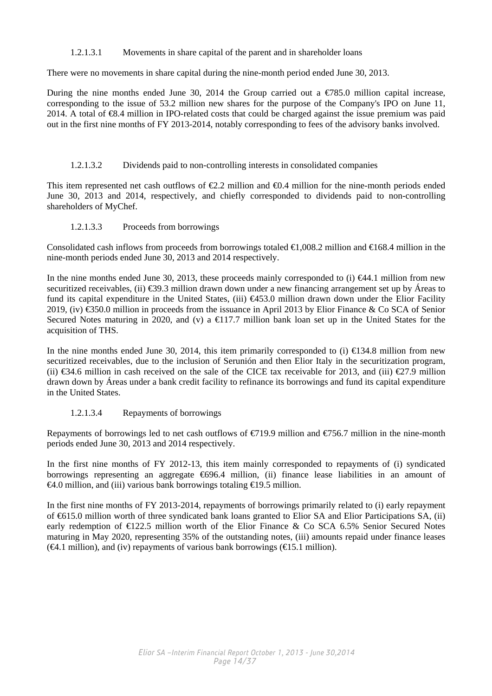### 1.2.1.3.1 Movements in share capital of the parent and in shareholder loans

There were no movements in share capital during the nine-month period ended June 30, 2013.

During the nine months ended June 30, 2014 the Group carried out a  $\epsilon$ 785.0 million capital increase, corresponding to the issue of 53.2 million new shares for the purpose of the Company's IPO on June 11, 2014. A total of €8.4 million in IPO-related costs that could be charged against the issue premium was paid out in the first nine months of FY 2013-2014, notably corresponding to fees of the advisory banks involved.

### 1.2.1.3.2 Dividends paid to non-controlling interests in consolidated companies

This item represented net cash outflows of  $\epsilon 2.2$  million and  $\epsilon 0.4$  million for the nine-month periods ended June 30, 2013 and 2014, respectively, and chiefly corresponded to dividends paid to non-controlling shareholders of MyChef.

### 1.2.1.3.3 Proceeds from borrowings

Consolidated cash inflows from proceeds from borrowings totaled  $\in$ 1,008.2 million and  $\in$ 168.4 million in the nine-month periods ended June 30, 2013 and 2014 respectively.

In the nine months ended June 30, 2013, these proceeds mainly corresponded to (i)  $\in 44.1$  million from new securitized receivables, (ii)  $\epsilon$ 39.3 million drawn down under a new financing arrangement set up by Áreas to fund its capital expenditure in the United States, (iii) €453.0 million drawn down under the Elior Facility 2019, (iv) €350.0 million in proceeds from the issuance in April 2013 by Elior Finance & Co SCA of Senior Secured Notes maturing in 2020, and (v) a  $\bigoplus$  17.7 million bank loan set up in the United States for the acquisition of THS.

In the nine months ended June 30, 2014, this item primarily corresponded to (i)  $\text{ } \in \text{ } 34.8 \text{ million from new}$ securitized receivables, due to the inclusion of Serunión and then Elior Italy in the securitization program, (ii)  $\text{\textsterling}34.6$  million in cash received on the sale of the CICE tax receivable for 2013, and (iii)  $\text{\textsterling}27.9$  million drawn down by Áreas under a bank credit facility to refinance its borrowings and fund its capital expenditure in the United States.

### 1.2.1.3.4 Repayments of borrowings

Repayments of borrowings led to net cash outflows of  $\epsilon$ 719.9 million and  $\epsilon$ 756.7 million in the nine-month periods ended June 30, 2013 and 2014 respectively.

In the first nine months of FY 2012-13, this item mainly corresponded to repayments of (i) syndicated borrowings representing an aggregate €696.4 million, (ii) finance lease liabilities in an amount of  $\triangleleft$ 4.0 million, and (iii) various bank borrowings totaling  $\triangleleft$  9.5 million.

In the first nine months of FY 2013-2014, repayments of borrowings primarily related to (i) early repayment of €615.0 million worth of three syndicated bank loans granted to Elior SA and Elior Participations SA, (ii) early redemption of  $E$ 122.5 million worth of the Elior Finance & Co SCA 6.5% Senior Secured Notes maturing in May 2020, representing 35% of the outstanding notes, (iii) amounts repaid under finance leases  $(\mathcal{A}.1 \text{ million})$ , and (iv) repayments of various bank borrowings ( $\mathcal{A}5.1 \text{ million}$ ).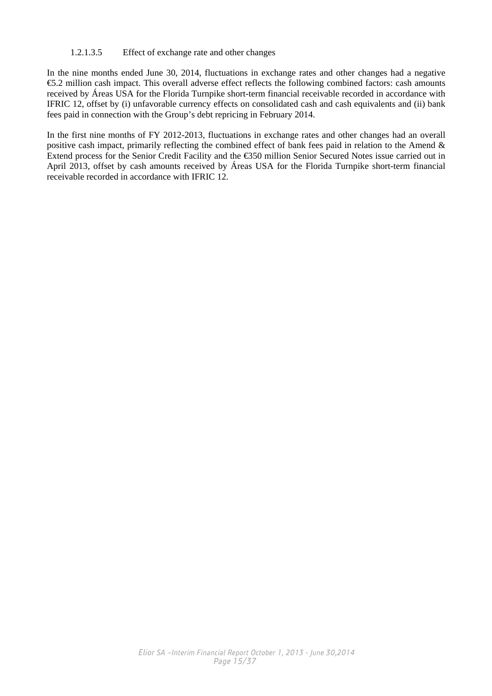### 1.2.1.3.5 Effect of exchange rate and other changes

In the nine months ended June 30, 2014, fluctuations in exchange rates and other changes had a negative €5.2 million cash impact. This overall adverse effect reflects the following combined factors: cash amounts received by Áreas USA for the Florida Turnpike short-term financial receivable recorded in accordance with IFRIC 12, offset by (i) unfavorable currency effects on consolidated cash and cash equivalents and (ii) bank fees paid in connection with the Group's debt repricing in February 2014.

In the first nine months of FY 2012-2013, fluctuations in exchange rates and other changes had an overall positive cash impact, primarily reflecting the combined effect of bank fees paid in relation to the Amend & Extend process for the Senior Credit Facility and the €350 million Senior Secured Notes issue carried out in April 2013, offset by cash amounts received by Áreas USA for the Florida Turnpike short-term financial receivable recorded in accordance with IFRIC 12.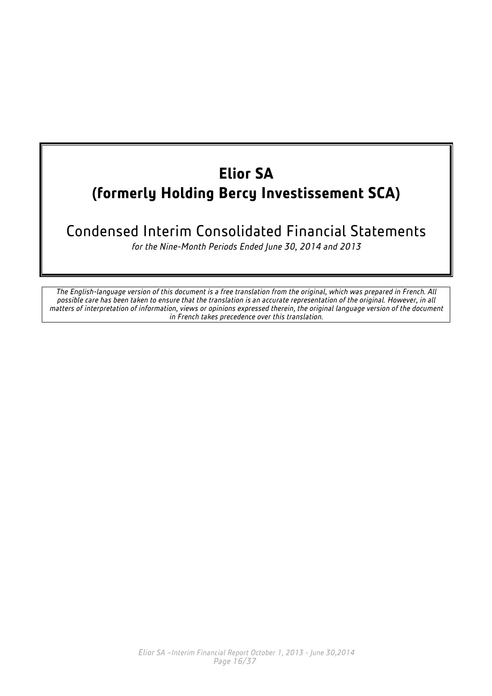## **Elior SA (formerly Holding Bercy Investissement SCA)**

### Condensed Interim Consolidated Financial Statements

*for the Nine-Month Periods Ended June 30, 2014 and 2013*

*The English-language version of this document is a free translation from the original, which was prepared in French. All possible care has been taken to ensure that the translation is an accurate representation of the original. However, in all matters of interpretation of information, views or opinions expressed therein, the original language version of the document in French takes precedence over this translation.*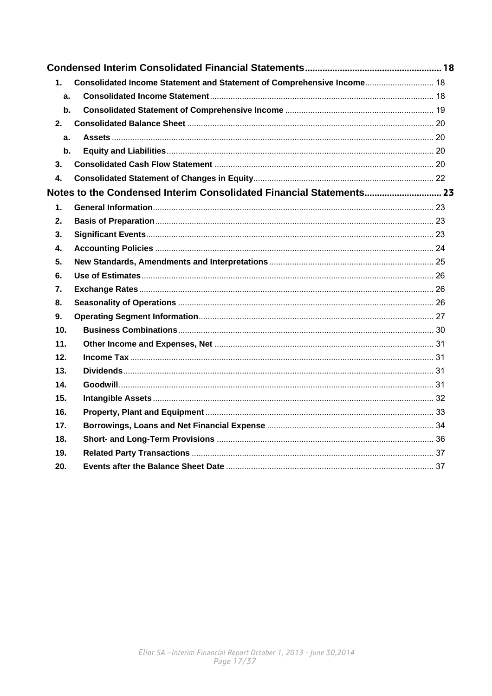| $\mathbf 1$    | Consolidated Income Statement and Statement of Comprehensive Income 18 |  |
|----------------|------------------------------------------------------------------------|--|
| a.             |                                                                        |  |
| $\mathbf{b}$ . |                                                                        |  |
| 2.             |                                                                        |  |
| a.             |                                                                        |  |
| b.             |                                                                        |  |
| 3.             |                                                                        |  |
| 4.             |                                                                        |  |
|                | Notes to the Condensed Interim Consolidated Financial Statements 23    |  |
| 1.             |                                                                        |  |
| 2.             |                                                                        |  |
| 3.             |                                                                        |  |
| 4.             |                                                                        |  |
| 5.             |                                                                        |  |
| 6.             |                                                                        |  |
| 7.             |                                                                        |  |
| 8.             |                                                                        |  |
| 9.             |                                                                        |  |
| 10.            |                                                                        |  |
| 11.            |                                                                        |  |
| 12.            |                                                                        |  |
| 13.            |                                                                        |  |
| 14.            |                                                                        |  |
| 15.            |                                                                        |  |
| 16.            |                                                                        |  |
| 17.            |                                                                        |  |
| 18.            |                                                                        |  |
| 19.            |                                                                        |  |
| 20.            |                                                                        |  |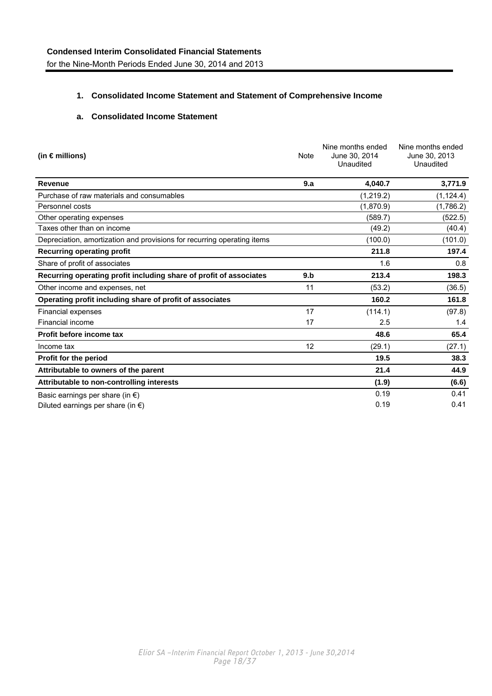### <span id="page-17-0"></span>**1. Consolidated Income Statement and Statement of Comprehensive Income**

### **a. Consolidated Income Statement**

| (in $\epsilon$ millions)                                                |     | Nine months ended<br>June 30, 2014<br>Unaudited | Nine months ended<br>June 30, 2013<br>Unaudited |
|-------------------------------------------------------------------------|-----|-------------------------------------------------|-------------------------------------------------|
| <b>Revenue</b>                                                          | 9.a | 4,040.7                                         | 3,771.9                                         |
| Purchase of raw materials and consumables                               |     | (1,219.2)                                       | (1, 124.4)                                      |
| Personnel costs                                                         |     | (1,870.9)                                       | (1,786.2)                                       |
| Other operating expenses                                                |     | (589.7)                                         | (522.5)                                         |
| Taxes other than on income                                              |     | (49.2)                                          | (40.4)                                          |
| Depreciation, amortization and provisions for recurring operating items |     | (100.0)                                         | (101.0)                                         |
| <b>Recurring operating profit</b>                                       |     | 211.8                                           | 197.4                                           |
| Share of profit of associates                                           |     | 1.6                                             | 0.8                                             |
| Recurring operating profit including share of profit of associates      | 9.b | 213.4                                           | 198.3                                           |
| Other income and expenses, net                                          | 11  | (53.2)                                          | (36.5)                                          |
| Operating profit including share of profit of associates                |     | 160.2                                           | 161.8                                           |
| Financial expenses                                                      | 17  | (114.1)                                         | (97.8)                                          |
| Financial income                                                        | 17  | 2.5                                             | 1.4                                             |
| Profit before income tax                                                |     | 48.6                                            | 65.4                                            |
| Income tax                                                              | 12  | (29.1)                                          | (27.1)                                          |
| Profit for the period                                                   |     | 19.5                                            | 38.3                                            |
| Attributable to owners of the parent                                    |     | 21.4                                            | 44.9                                            |
| Attributable to non-controlling interests                               |     | (1.9)                                           | (6.6)                                           |
| Basic earnings per share (in $\epsilon$ )                               |     | 0.19                                            | 0.41                                            |
| Diluted earnings per share (in $\epsilon$ )                             |     | 0.19                                            | 0.41                                            |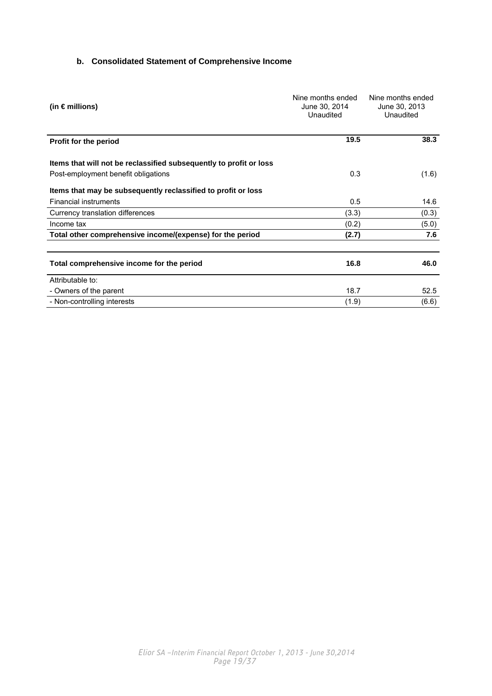### <span id="page-18-0"></span>**b. Consolidated Statement of Comprehensive Income**

| (in $\epsilon$ millions)                                           | Nine months ended<br>June 30, 2014<br>Unaudited | Nine months ended<br>June 30, 2013<br>Unaudited |  |
|--------------------------------------------------------------------|-------------------------------------------------|-------------------------------------------------|--|
| Profit for the period                                              | 19.5                                            | 38.3                                            |  |
| Items that will not be reclassified subsequently to profit or loss |                                                 |                                                 |  |
| Post-employment benefit obligations                                | 0.3                                             | (1.6)                                           |  |
| Items that may be subsequently reclassified to profit or loss      |                                                 |                                                 |  |
| <b>Financial instruments</b>                                       | 0.5                                             | 14.6                                            |  |
| Currency translation differences                                   | (3.3)                                           | (0.3)                                           |  |
| Income tax                                                         | (0.2)                                           | (5.0)                                           |  |
| Total other comprehensive income/(expense) for the period          | (2.7)                                           | 7.6                                             |  |
| Total comprehensive income for the period                          | 16.8                                            | 46.0                                            |  |
| Attributable to:                                                   |                                                 |                                                 |  |
| - Owners of the parent                                             | 18.7                                            | 52.5                                            |  |
| - Non-controlling interests                                        | (1.9)                                           | (6.6)                                           |  |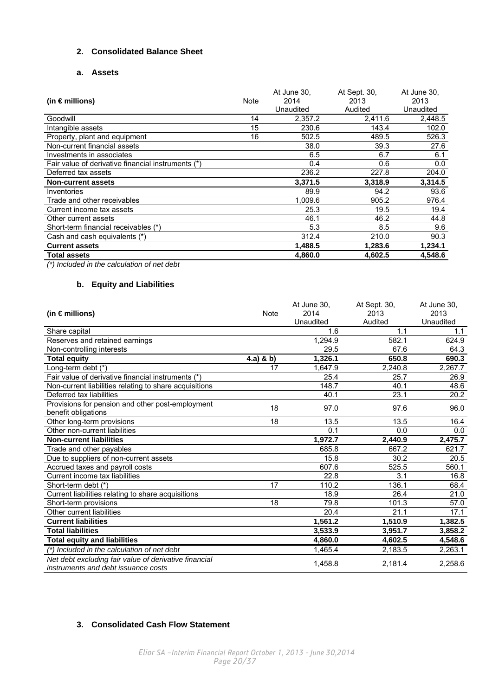### <span id="page-19-0"></span>**2. Consolidated Balance Sheet**

### **a. Assets**

| (in $\epsilon$ millions)                           | Note | At June 30,<br>2014<br>Unaudited | At Sept. 30,<br>2013<br>Audited | At June 30,<br>2013<br>Unaudited |
|----------------------------------------------------|------|----------------------------------|---------------------------------|----------------------------------|
| Goodwill                                           | 14   | 2,357.2                          | 2,411.6                         | 2,448.5                          |
| Intangible assets                                  | 15   | 230.6                            | 143.4                           | 102.0                            |
| Property, plant and equipment                      | 16   | 502.5                            | 489.5                           | 526.3                            |
| Non-current financial assets                       |      | 38.0                             | 39.3                            | 27.6                             |
| Investments in associates                          |      | 6.5                              | 6.7                             | 6.1                              |
| Fair value of derivative financial instruments (*) |      | 0.4                              | 0.6                             | 0.0                              |
| Deferred tax assets                                |      | 236.2                            | 227.8                           | 204.0                            |
| <b>Non-current assets</b>                          |      | 3,371.5                          | 3,318.9                         | 3,314.5                          |
| Inventories                                        |      | 89.9                             | 94.2                            | 93.6                             |
| Trade and other receivables                        |      | 1.009.6                          | 905.2                           | 976.4                            |
| Current income tax assets                          |      | 25.3                             | 19.5                            | 19.4                             |
| Other current assets                               |      | 46.1                             | 46.2                            | 44.8                             |
| Short-term financial receivables (*)               |      | 5.3                              | 8.5                             | 9.6                              |
| Cash and cash equivalents (*)                      |      | 312.4                            | 210.0                           | 90.3                             |
| <b>Current assets</b>                              |      | 1,488.5                          | 1,283.6                         | 1,234.1                          |
| <b>Total assets</b>                                |      | 4.860.0                          | 4,602.5                         | 4,548.6                          |

*(\*) Included in the calculation of net debt* 

### **b. Equity and Liabilities**

|                                                        |             | At June 30. | At Sept. 30. | At June 30. |
|--------------------------------------------------------|-------------|-------------|--------------|-------------|
| (in $\epsilon$ millions)                               | Note        | 2014        | 2013         | 2013        |
|                                                        |             | Unaudited   | Audited      | Unaudited   |
| Share capital                                          |             | 1.6         | 1.1          | 1.1         |
| Reserves and retained earnings                         |             | 1,294.9     | 582.1        | 624.9       |
| Non-controlling interests                              |             | 29.5        | 67.6         | 64.3        |
| <b>Total equity</b>                                    | $4.a)$ & b) | 1,326.1     | 650.8        | 690.3       |
| Long-term debt (*)                                     | 17          | 1.647.9     | 2,240.8      | 2,267.7     |
| Fair value of derivative financial instruments (*)     |             | 25.4        | 25.7         | 26.9        |
| Non-current liabilities relating to share acquisitions |             | 148.7       | 40.1         | 48.6        |
| Deferred tax liabilities                               |             | 40.1        | 23.1         | 20.2        |
| Provisions for pension and other post-employment       | 18          | 97.0        | 97.6         | 96.0        |
| benefit obligations                                    |             |             |              |             |
| Other long-term provisions                             | 18          | 13.5        | 13.5         | 16.4        |
| Other non-current liabilities                          |             | 0.1         | 0.0          | 0.0         |
| <b>Non-current liabilities</b>                         |             | 1,972.7     | 2,440.9      | 2,475.7     |
| Trade and other payables                               |             | 685.8       | 667.2        | 621.7       |
| Due to suppliers of non-current assets                 |             | 15.8        | 30.2         | 20.5        |
| Accrued taxes and payroll costs                        |             | 607.6       | 525.5        | 560.1       |
| Current income tax liabilities                         |             | 22.8        | 3.1          | 16.8        |
| Short-term debt (*)                                    | 17          | 110.2       | 136.1        | 68.4        |
| Current liabilities relating to share acquisitions     |             | 18.9        | 26.4         | 21.0        |
| Short-term provisions                                  | 18          | 79.8        | 101.3        | 57.0        |
| Other current liabilities                              |             | 20.4        | 21.1         | 17.1        |
| <b>Current liabilities</b>                             |             | 1,561.2     | 1,510.9      | 1,382.5     |
| <b>Total liabilities</b>                               |             | 3,533.9     | 3,951.7      | 3,858.2     |
| <b>Total equity and liabilities</b>                    |             | 4,860.0     | 4,602.5      | 4,548.6     |
| (*) Included in the calculation of net debt            |             | 1,465.4     | 2,183.5      | 2,263.1     |
| Net debt excluding fair value of derivative financial  |             | 1,458.8     | 2,181.4      | 2,258.6     |
| instruments and debt issuance costs                    |             |             |              |             |

### **3. Consolidated Cash Flow Statement**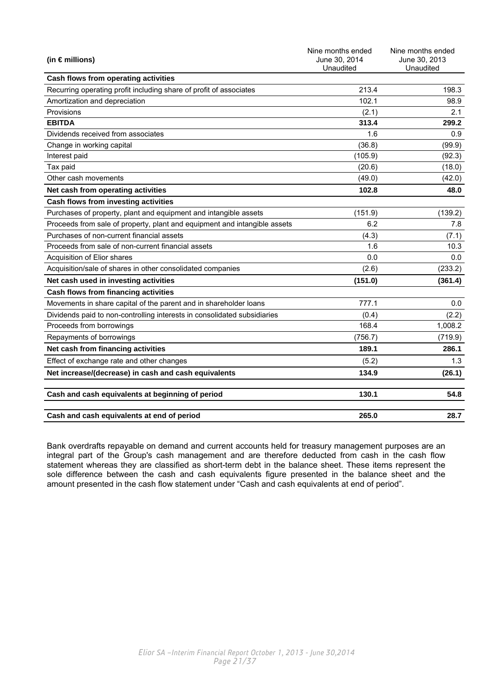| (in $\epsilon$ millions)                                                  | Nine months ended<br>June 30, 2014<br>Unaudited | Nine months ended<br>June 30, 2013<br>Unaudited |
|---------------------------------------------------------------------------|-------------------------------------------------|-------------------------------------------------|
| Cash flows from operating activities                                      |                                                 |                                                 |
| Recurring operating profit including share of profit of associates        | 213.4                                           | 198.3                                           |
| Amortization and depreciation                                             | 102.1                                           | 98.9                                            |
| Provisions                                                                | (2.1)                                           | 2.1                                             |
| <b>EBITDA</b>                                                             | 313.4                                           | 299.2                                           |
| Dividends received from associates                                        | 1.6                                             | 0.9                                             |
| Change in working capital                                                 | (36.8)                                          | (99.9)                                          |
| Interest paid                                                             | (105.9)                                         | (92.3)                                          |
| Tax paid                                                                  | (20.6)                                          | (18.0)                                          |
| Other cash movements                                                      | (49.0)                                          | (42.0)                                          |
| Net cash from operating activities                                        | 102.8                                           | 48.0                                            |
| Cash flows from investing activities                                      |                                                 |                                                 |
| Purchases of property, plant and equipment and intangible assets          | (151.9)                                         | (139.2)                                         |
| Proceeds from sale of property, plant and equipment and intangible assets | 6.2                                             | 7.8                                             |
| Purchases of non-current financial assets                                 | (4.3)                                           | (7.1)                                           |
| Proceeds from sale of non-current financial assets                        | 1.6                                             | 10.3                                            |
| Acquisition of Elior shares                                               | 0.0                                             | 0.0                                             |
| Acquisition/sale of shares in other consolidated companies                | (2.6)                                           | (233.2)                                         |
| Net cash used in investing activities                                     | (151.0)                                         | (361.4)                                         |
| Cash flows from financing activities                                      |                                                 |                                                 |
| Movements in share capital of the parent and in shareholder loans         | 777.1                                           | 0.0                                             |
| Dividends paid to non-controlling interests in consolidated subsidiaries  | (0.4)                                           | (2.2)                                           |
| Proceeds from borrowings                                                  | 168.4                                           | 1,008.2                                         |
| Repayments of borrowings                                                  | (756.7)                                         | (719.9)                                         |
| Net cash from financing activities                                        | 189.1                                           | 286.1                                           |
| Effect of exchange rate and other changes                                 | (5.2)                                           | 1.3                                             |
| Net increase/(decrease) in cash and cash equivalents                      | 134.9                                           | (26.1)                                          |
| Cash and cash equivalents at beginning of period                          | 130.1                                           | 54.8                                            |
| Cash and cash equivalents at end of period                                | 265.0                                           | 28.7                                            |

Bank overdrafts repayable on demand and current accounts held for treasury management purposes are an integral part of the Group's cash management and are therefore deducted from cash in the cash flow statement whereas they are classified as short-term debt in the balance sheet. These items represent the sole difference between the cash and cash equivalents figure presented in the balance sheet and the amount presented in the cash flow statement under "Cash and cash equivalents at end of period".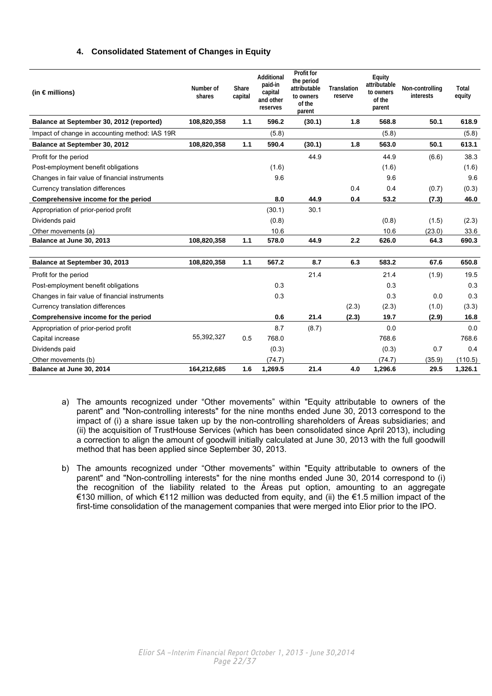### **4. Consolidated Statement of Changes in Equity**

<span id="page-21-0"></span>

| (in $\epsilon$ millions)                       | Number of<br>shares | Share<br>capital | Additional<br>paid-in<br>capital<br>and other<br>reserves | <b>Profit for</b><br>the period<br>attributable<br>to owners<br>of the<br>parent | <b>Translation</b><br>reserve | Equity<br>attributable<br>to owners<br>of the<br>parent | Non-controlling<br>interests | Total<br>equity |
|------------------------------------------------|---------------------|------------------|-----------------------------------------------------------|----------------------------------------------------------------------------------|-------------------------------|---------------------------------------------------------|------------------------------|-----------------|
| Balance at September 30, 2012 (reported)       | 108,820,358         | 1.1              | 596.2                                                     | (30.1)                                                                           | 1.8                           | 568.8                                                   | 50.1                         | 618.9           |
| Impact of change in accounting method: IAS 19R |                     |                  | (5.8)                                                     |                                                                                  |                               | (5.8)                                                   |                              | (5.8)           |
| Balance at September 30, 2012                  | 108,820,358         | 1.1              | 590.4                                                     | (30.1)                                                                           | 1.8                           | 563.0                                                   | 50.1                         | 613.1           |
| Profit for the period                          |                     |                  |                                                           | 44.9                                                                             |                               | 44.9                                                    | (6.6)                        | 38.3            |
| Post-employment benefit obligations            |                     |                  | (1.6)                                                     |                                                                                  |                               | (1.6)                                                   |                              | (1.6)           |
| Changes in fair value of financial instruments |                     |                  | 9.6                                                       |                                                                                  |                               | 9.6                                                     |                              | 9.6             |
| Currency translation differences               |                     |                  |                                                           |                                                                                  | 0.4                           | 0.4                                                     | (0.7)                        | (0.3)           |
| Comprehensive income for the period            |                     |                  | 8.0                                                       | 44.9                                                                             | 0.4                           | 53.2                                                    | (7.3)                        | 46.0            |
| Appropriation of prior-period profit           |                     |                  | (30.1)                                                    | 30.1                                                                             |                               |                                                         |                              |                 |
| Dividends paid                                 |                     |                  | (0.8)                                                     |                                                                                  |                               | (0.8)                                                   | (1.5)                        | (2.3)           |
| Other movements (a)                            |                     |                  | 10.6                                                      |                                                                                  |                               | 10.6                                                    | (23.0)                       | 33.6            |
| Balance at June 30, 2013                       | 108,820,358         | 1.1              | 578.0                                                     | 44.9                                                                             | 2.2                           | 626.0                                                   | 64.3                         | 690.3           |
| Balance at September 30, 2013                  | 108,820,358         | 1.1              | 567.2                                                     | 8.7                                                                              | 6.3                           | 583.2                                                   | 67.6                         | 650.8           |
| Profit for the period                          |                     |                  |                                                           | 21.4                                                                             |                               | 21.4                                                    | (1.9)                        | 19.5            |
| Post-employment benefit obligations            |                     |                  | 0.3                                                       |                                                                                  |                               | 0.3                                                     |                              | 0.3             |
| Changes in fair value of financial instruments |                     |                  | 0.3                                                       |                                                                                  |                               | 0.3                                                     | 0.0                          | 0.3             |
| Currency translation differences               |                     |                  |                                                           |                                                                                  | (2.3)                         | (2.3)                                                   | (1.0)                        | (3.3)           |
| Comprehensive income for the period            |                     |                  | 0.6                                                       | 21.4                                                                             | (2.3)                         | 19.7                                                    | (2.9)                        | 16.8            |
| Appropriation of prior-period profit           |                     |                  | 8.7                                                       | (8.7)                                                                            |                               | 0.0                                                     |                              | 0.0             |
| Capital increase                               | 55,392,327          | 0.5              | 768.0                                                     |                                                                                  |                               | 768.6                                                   |                              | 768.6           |
| Dividends paid                                 |                     |                  | (0.3)                                                     |                                                                                  |                               | (0.3)                                                   | 0.7                          | 0.4             |
| Other movements (b)                            |                     |                  | (74.7)                                                    |                                                                                  |                               | (74.7)                                                  | (35.9)                       | (110.5)         |
| Balance at June 30, 2014                       | 164,212,685         | 1.6              | 1,269.5                                                   | 21.4                                                                             | 4.0                           | 1,296.6                                                 | 29.5                         | 1,326.1         |

- a) The amounts recognized under "Other movements" within "Equity attributable to owners of the parent" and "Non-controlling interests" for the nine months ended June 30, 2013 correspond to the impact of (i) a share issue taken up by the non-controlling shareholders of Áreas subsidiaries; and (ii) the acquisition of TrustHouse Services (which has been consolidated since April 2013), including a correction to align the amount of goodwill initially calculated at June 30, 2013 with the full goodwill method that has been applied since September 30, 2013.
- b) The amounts recognized under "Other movements" within "Equity attributable to owners of the parent" and "Non-controlling interests" for the nine months ended June 30, 2014 correspond to (i) the recognition of the liability related to the Áreas put option, amounting to an aggregate €130 million, of which €112 million was deducted from equity, and (ii) the €1.5 million impact of the first-time consolidation of the management companies that were merged into Elior prior to the IPO.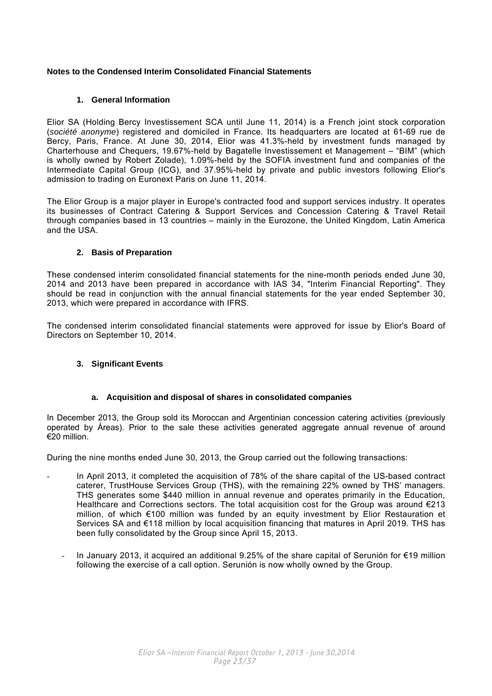### <span id="page-22-0"></span>**Notes to the Condensed Interim Consolidated Financial Statements**

### **1. General Information**

Elior SA (Holding Bercy Investissement SCA until June 11, 2014) is a French joint stock corporation (*société anonyme*) registered and domiciled in France. Its headquarters are located at 61-69 rue de Bercy, Paris, France. At June 30, 2014, Elior was 41.3%-held by investment funds managed by Charterhouse and Chequers, 19.67%-held by Bagatelle Investissement et Management – "BIM" (which is wholly owned by Robert Zolade), 1.09%-held by the SOFIA investment fund and companies of the Intermediate Capital Group (ICG), and 37.95%-held by private and public investors following Elior's admission to trading on Euronext Paris on June 11, 2014.

The Elior Group is a major player in Europe's contracted food and support services industry. It operates its businesses of Contract Catering & Support Services and Concession Catering & Travel Retail through companies based in 13 countries – mainly in the Eurozone, the United Kingdom, Latin America and the USA.

### **2. Basis of Preparation**

These condensed interim consolidated financial statements for the nine-month periods ended June 30, 2014 and 2013 have been prepared in accordance with IAS 34, "Interim Financial Reporting". They should be read in conjunction with the annual financial statements for the year ended September 30, 2013, which were prepared in accordance with IFRS.

The condensed interim consolidated financial statements were approved for issue by Elior's Board of Directors on September 10, 2014.

### **3. Significant Events**

### **a. Acquisition and disposal of shares in consolidated companies**

In December 2013, the Group sold its Moroccan and Argentinian concession catering activities (previously operated by Áreas). Prior to the sale these activities generated aggregate annual revenue of around €20 million.

During the nine months ended June 30, 2013, the Group carried out the following transactions:

- In April 2013, it completed the acquisition of 78% of the share capital of the US-based contract caterer, TrustHouse Services Group (THS), with the remaining 22% owned by THS' managers. THS generates some \$440 million in annual revenue and operates primarily in the Education, Healthcare and Corrections sectors. The total acquisition cost for the Group was around  $\epsilon$ 213 million, of which €100 million was funded by an equity investment by Elior Restauration et Services SA and €118 million by local acquisition financing that matures in April 2019. THS has been fully consolidated by the Group since April 15, 2013.
	- In January 2013, it acquired an additional 9.25% of the share capital of Serunión for €19 million following the exercise of a call option. Serunión is now wholly owned by the Group.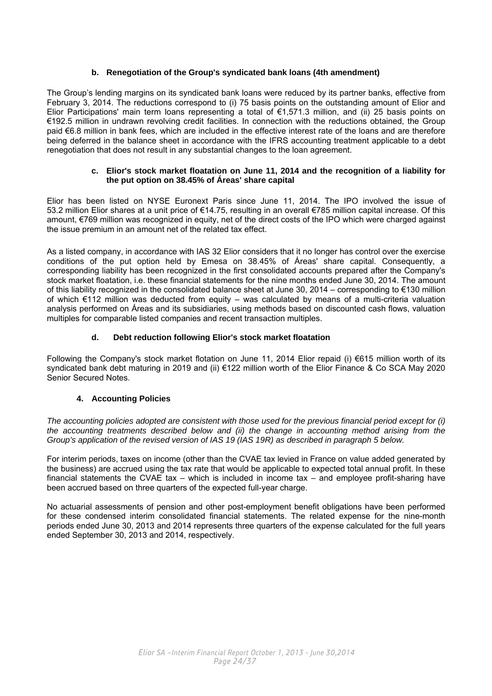### **b. Renegotiation of the Group's syndicated bank loans (4th amendment)**

<span id="page-23-0"></span>The Group's lending margins on its syndicated bank loans were reduced by its partner banks, effective from February 3, 2014. The reductions correspond to (i) 75 basis points on the outstanding amount of Elior and Elior Participations' main term loans representing a total of €1,571.3 million, and (ii) 25 basis points on €192.5 million in undrawn revolving credit facilities. In connection with the reductions obtained, the Group paid €6.8 million in bank fees, which are included in the effective interest rate of the loans and are therefore being deferred in the balance sheet in accordance with the IFRS accounting treatment applicable to a debt renegotiation that does not result in any substantial changes to the loan agreement.

### **c. Elior's stock market floatation on June 11, 2014 and the recognition of a liability for the put option on 38.45% of Áreas' share capital**

Elior has been listed on NYSE Euronext Paris since June 11, 2014. The IPO involved the issue of 53.2 million Elior shares at a unit price of €14.75, resulting in an overall €785 million capital increase. Of this amount, €769 million was recognized in equity, net of the direct costs of the IPO which were charged against the issue premium in an amount net of the related tax effect.

As a listed company, in accordance with IAS 32 Elior considers that it no longer has control over the exercise conditions of the put option held by Emesa on 38.45% of Áreas' share capital. Consequently, a corresponding liability has been recognized in the first consolidated accounts prepared after the Company's stock market floatation, i.e. these financial statements for the nine months ended June 30, 2014. The amount of this liability recognized in the consolidated balance sheet at June 30, 2014 – corresponding to €130 million of which €112 million was deducted from equity – was calculated by means of a multi-criteria valuation analysis performed on Áreas and its subsidiaries, using methods based on discounted cash flows, valuation multiples for comparable listed companies and recent transaction multiples.

### **d. Debt reduction following Elior's stock market floatation**

Following the Company's stock market flotation on June 11, 2014 Elior repaid (i) €615 million worth of its syndicated bank debt maturing in 2019 and (ii) €122 million worth of the Elior Finance & Co SCA May 2020 Senior Secured Notes.

### **4. Accounting Policies**

*The accounting policies adopted are consistent with those used for the previous financial period except for (i) the accounting treatments described below and (ii) the change in accounting method arising from the Group's application of the revised version of IAS 19 (IAS 19R) as described in paragraph 5 below.* 

For interim periods, taxes on income (other than the CVAE tax levied in France on value added generated by the business) are accrued using the tax rate that would be applicable to expected total annual profit. In these financial statements the CVAE tax – which is included in income tax – and employee profit-sharing have been accrued based on three quarters of the expected full-year charge.

No actuarial assessments of pension and other post-employment benefit obligations have been performed for these condensed interim consolidated financial statements. The related expense for the nine-month periods ended June 30, 2013 and 2014 represents three quarters of the expense calculated for the full years ended September 30, 2013 and 2014, respectively.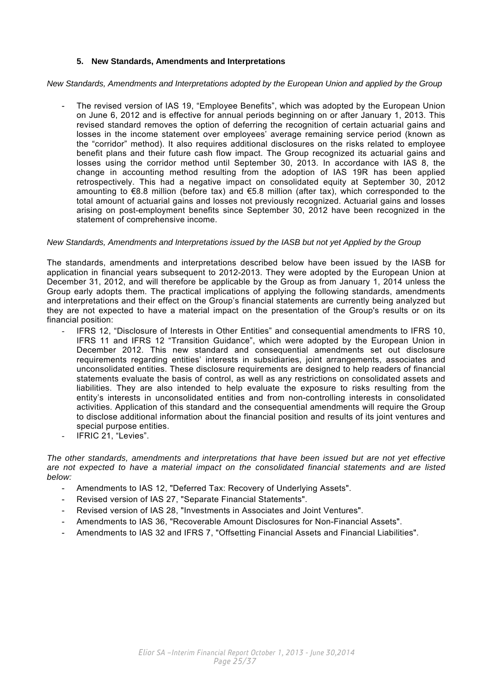### **5. New Standards, Amendments and Interpretations**

<span id="page-24-0"></span>*New Standards, Amendments and Interpretations adopted by the European Union and applied by the Group*

The revised version of IAS 19, "Employee Benefits", which was adopted by the European Union on June 6, 2012 and is effective for annual periods beginning on or after January 1, 2013. This revised standard removes the option of deferring the recognition of certain actuarial gains and losses in the income statement over employees' average remaining service period (known as the "corridor" method). It also requires additional disclosures on the risks related to employee benefit plans and their future cash flow impact. The Group recognized its actuarial gains and losses using the corridor method until September 30, 2013. In accordance with IAS 8, the change in accounting method resulting from the adoption of IAS 19R has been applied retrospectively. This had a negative impact on consolidated equity at September 30, 2012 amounting to  $\epsilon$ 8.8 million (before tax) and  $\epsilon$ 5.8 million (after tax), which corresponded to the total amount of actuarial gains and losses not previously recognized. Actuarial gains and losses arising on post-employment benefits since September 30, 2012 have been recognized in the statement of comprehensive income.

### *New Standards, Amendments and Interpretations issued by the IASB but not yet Applied by the Group*

The standards, amendments and interpretations described below have been issued by the IASB for application in financial years subsequent to 2012-2013. They were adopted by the European Union at December 31, 2012, and will therefore be applicable by the Group as from January 1, 2014 unless the Group early adopts them. The practical implications of applying the following standards, amendments and interpretations and their effect on the Group's financial statements are currently being analyzed but they are not expected to have a material impact on the presentation of the Group's results or on its financial position:

- IFRS 12, "Disclosure of Interests in Other Entities" and consequential amendments to IFRS 10, IFRS 11 and IFRS 12 "Transition Guidance", which were adopted by the European Union in December 2012. This new standard and consequential amendments set out disclosure requirements regarding entities' interests in subsidiaries, joint arrangements, associates and unconsolidated entities. These disclosure requirements are designed to help readers of financial statements evaluate the basis of control, as well as any restrictions on consolidated assets and liabilities. They are also intended to help evaluate the exposure to risks resulting from the entity's interests in unconsolidated entities and from non-controlling interests in consolidated activities. Application of this standard and the consequential amendments will require the Group to disclose additional information about the financial position and results of its joint ventures and special purpose entities.
- IFRIC 21, "Levies".

*The other standards, amendments and interpretations that have been issued but are not yet effective are not expected to have a material impact on the consolidated financial statements and are listed below:* 

- Amendments to IAS 12, "Deferred Tax: Recovery of Underlying Assets".
- Revised version of IAS 27, "Separate Financial Statements".
- Revised version of IAS 28, "Investments in Associates and Joint Ventures".
- Amendments to IAS 36, "Recoverable Amount Disclosures for Non-Financial Assets".
- Amendments to IAS 32 and IFRS 7, "Offsetting Financial Assets and Financial Liabilities".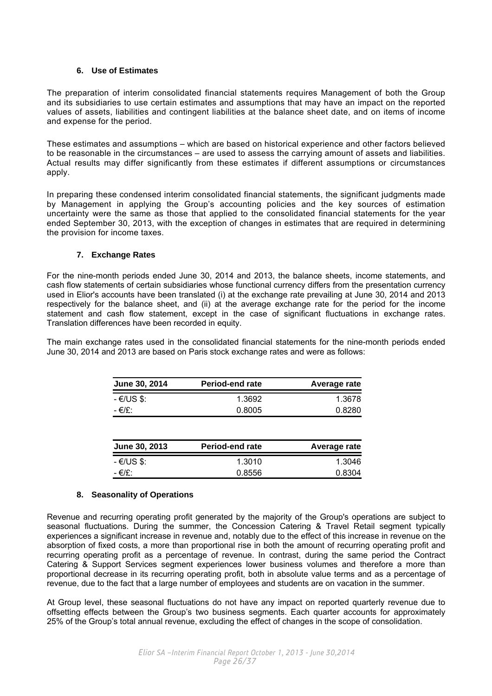### **6. Use of Estimates**

<span id="page-25-0"></span>The preparation of interim consolidated financial statements requires Management of both the Group and its subsidiaries to use certain estimates and assumptions that may have an impact on the reported values of assets, liabilities and contingent liabilities at the balance sheet date, and on items of income and expense for the period.

These estimates and assumptions – which are based on historical experience and other factors believed to be reasonable in the circumstances – are used to assess the carrying amount of assets and liabilities. Actual results may differ significantly from these estimates if different assumptions or circumstances apply.

In preparing these condensed interim consolidated financial statements, the significant judgments made by Management in applying the Group's accounting policies and the key sources of estimation uncertainty were the same as those that applied to the consolidated financial statements for the year ended September 30, 2013, with the exception of changes in estimates that are required in determining the provision for income taxes.

### **7. Exchange Rates**

For the nine-month periods ended June 30, 2014 and 2013, the balance sheets, income statements, and cash flow statements of certain subsidiaries whose functional currency differs from the presentation currency used in Elior's accounts have been translated (i) at the exchange rate prevailing at June 30, 2014 and 2013 respectively for the balance sheet, and (ii) at the average exchange rate for the period for the income statement and cash flow statement, except in the case of significant fluctuations in exchange rates. Translation differences have been recorded in equity.

The main exchange rates used in the consolidated financial statements for the nine-month periods ended June 30, 2014 and 2013 are based on Paris stock exchange rates and were as follows:

| <b>June 30, 2014</b> | Period-end rate | Average rate |
|----------------------|-----------------|--------------|
| - €/US \$:           | 1.3692          | 1.3678       |
| - €/£∵               | 0.8005          | 0.8280       |
|                      |                 |              |

| <b>June 30, 2013</b> | <b>Period-end rate</b> | Average rate |
|----------------------|------------------------|--------------|
| - €/US \$:           | 1.3010                 | 1.3046       |
| - €/£:               | 0.8556                 | 0.8304       |

### **8. Seasonality of Operations**

Revenue and recurring operating profit generated by the majority of the Group's operations are subject to seasonal fluctuations. During the summer, the Concession Catering & Travel Retail segment typically experiences a significant increase in revenue and, notably due to the effect of this increase in revenue on the absorption of fixed costs, a more than proportional rise in both the amount of recurring operating profit and recurring operating profit as a percentage of revenue. In contrast, during the same period the Contract Catering & Support Services segment experiences lower business volumes and therefore a more than proportional decrease in its recurring operating profit, both in absolute value terms and as a percentage of revenue, due to the fact that a large number of employees and students are on vacation in the summer.

At Group level, these seasonal fluctuations do not have any impact on reported quarterly revenue due to offsetting effects between the Group's two business segments. Each quarter accounts for approximately 25% of the Group's total annual revenue, excluding the effect of changes in the scope of consolidation.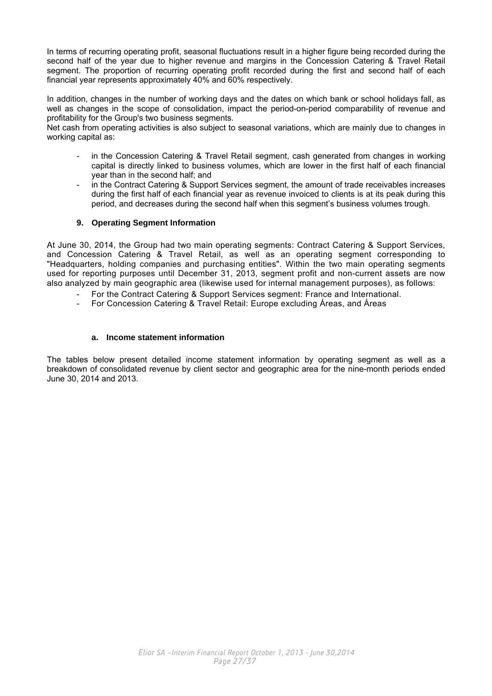<span id="page-26-0"></span>In terms of recurring operating profit, seasonal fluctuations result in a higher figure being recorded during the second half of the year due to higher revenue and margins in the Concession Catering & Travel Retail segment. The proportion of recurring operating profit recorded during the first and second half of each financial year represents approximately 40% and 60% respectively.

In addition, changes in the number of working days and the dates on which bank or school holidays fall, as well as changes in the scope of consolidation, impact the period-on-period comparability of revenue and profitability for the Group's two business segments.

Net cash from operating activities is also subject to seasonal variations, which are mainly due to changes in working capital as:

- in the Concession Catering & Travel Retail segment, cash generated from changes in working capital is directly linked to business volumes, which are lower in the first half of each financial year than in the second half; and
- in the Contract Catering & Support Services segment, the amount of trade receivables increases during the first half of each financial year as revenue invoiced to clients is at its peak during this period, and decreases during the second half when this segment's business volumes trough.

### **9. Operating Segment Information**

At June 30, 2014, the Group had two main operating segments: Contract Catering & Support Services, and Concession Catering & Travel Retail, as well as an operating segment corresponding to "Headquarters, holding companies and purchasing entities". Within the two main operating segments used for reporting purposes until December 31, 2013, segment profit and non-current assets are now also analyzed by main geographic area (likewise used for internal management purposes), as follows:

- For the Contract Catering & Support Services segment: France and International.
- For Concession Catering & Travel Retail: Europe excluding Áreas, and Áreas

### **a. Income statement information**

The tables below present detailed income statement information by operating segment as well as a breakdown of consolidated revenue by client sector and geographic area for the nine-month periods ended June 30, 2014 and 2013.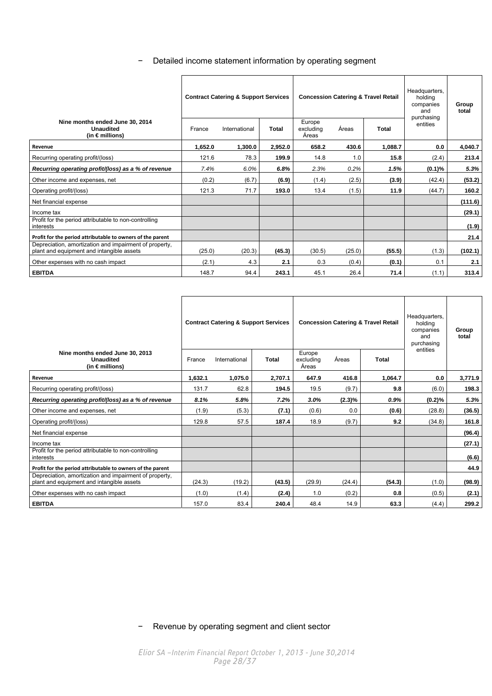− Detailed income statement information by operating segment

 $\overline{a}$ 

| Nine months ended June 30, 2014<br><b>Unaudited</b>                                                 | <b>Contract Catering &amp; Support Services</b><br>Total<br>France<br>International |         |         | <b>Concession Catering &amp; Travel Retail</b><br>Europe<br>Áreas<br>Total<br>excludina |        |         | Headquarters,<br>holdina<br>companies<br>and<br>purchasing<br>entities | Group<br>total |
|-----------------------------------------------------------------------------------------------------|-------------------------------------------------------------------------------------|---------|---------|-----------------------------------------------------------------------------------------|--------|---------|------------------------------------------------------------------------|----------------|
| (in $\epsilon$ millions)                                                                            |                                                                                     |         |         | Areas                                                                                   |        |         |                                                                        |                |
| Revenue                                                                                             | 1,652.0                                                                             | 1,300.0 | 2,952.0 | 658.2                                                                                   | 430.6  | 1,088.7 | 0.0                                                                    | 4,040.7        |
| Recurring operating profit/(loss)                                                                   | 121.6                                                                               | 78.3    | 199.9   | 14.8                                                                                    | 1.0    | 15.8    | (2.4)                                                                  | 213.4          |
| Recurring operating profit/(loss) as a % of revenue                                                 | 7.4%                                                                                | 6.0%    | 6.8%    | 2.3%                                                                                    | 0.2%   | 1.5%    | $(0.1)\%$                                                              | 5.3%           |
| Other income and expenses, net                                                                      | (0.2)                                                                               | (6.7)   | (6.9)   | (1.4)                                                                                   | (2.5)  | (3.9)   | (42.4)                                                                 | (53.2)         |
| Operating profit/(loss)                                                                             | 121.3                                                                               | 71.7    | 193.0   | 13.4                                                                                    | (1.5)  | 11.9    | (44.7)                                                                 | 160.2          |
| Net financial expense                                                                               |                                                                                     |         |         |                                                                                         |        |         |                                                                        | (111.6)        |
| Income tax                                                                                          |                                                                                     |         |         |                                                                                         |        |         |                                                                        | (29.1)         |
| Profit for the period attributable to non-controlling<br>interests                                  |                                                                                     |         |         |                                                                                         |        |         |                                                                        | (1.9)          |
| Profit for the period attributable to owners of the parent                                          |                                                                                     |         |         |                                                                                         |        |         |                                                                        | 21.4           |
| Depreciation, amortization and impairment of property,<br>plant and equipment and intangible assets | (25.0)                                                                              | (20.3)  | (45.3)  | (30.5)                                                                                  | (25.0) | (55.5)  | (1.3)                                                                  | (102.1)        |
| Other expenses with no cash impact                                                                  | (2.1)                                                                               | 4.3     | 2.1     | 0.3                                                                                     | (0.4)  | (0.1)   | 0.1                                                                    | 2.1            |
| <b>EBITDA</b>                                                                                       | 148.7                                                                               | 94.4    | 243.1   | 45.1                                                                                    | 26.4   | 71.4    | (1.1)                                                                  | 313.4          |

|                                                                                                     | <b>Contract Catering &amp; Support Services</b> |               |              |                              | <b>Concession Catering &amp; Travel Retail</b> | Headquarters,<br>holding<br>companies<br>and<br>purchasing | Group<br>total |         |
|-----------------------------------------------------------------------------------------------------|-------------------------------------------------|---------------|--------------|------------------------------|------------------------------------------------|------------------------------------------------------------|----------------|---------|
| Nine months ended June 30, 2013<br><b>Unaudited</b><br>(in $\epsilon$ millions)                     | France                                          | International | <b>Total</b> | Europe<br>excluding<br>Areas | Áreas                                          | Total                                                      | entities       |         |
| Revenue                                                                                             | 1,632.1                                         | 1.075.0       | 2,707.1      | 647.9                        | 416.8                                          | 1.064.7                                                    | 0.0            | 3,771.9 |
| Recurring operating profit/(loss)                                                                   | 131.7                                           | 62.8          | 194.5        | 19.5                         | (9.7)                                          | 9.8                                                        | (6.0)          | 198.3   |
| Recurring operating profit/(loss) as a % of revenue                                                 | 8.1%                                            | 5.8%          | 7.2%         | 3.0%                         | $(2.3)\%$                                      | $0.9\%$                                                    | (0.2)%         | 5.3%    |
| Other income and expenses, net                                                                      | (1.9)                                           | (5.3)         | (7.1)        | (0.6)                        | 0.0                                            | (0.6)                                                      | (28.8)         | (36.5)  |
| Operating profit/(loss)                                                                             | 129.8                                           | 57.5          | 187.4        | 18.9                         | (9.7)                                          | 9.2                                                        | (34.8)         | 161.8   |
| Net financial expense                                                                               |                                                 |               |              |                              |                                                |                                                            |                | (96.4)  |
| Income tax                                                                                          |                                                 |               |              |                              |                                                |                                                            |                | (27.1)  |
| Profit for the period attributable to non-controlling<br>interests                                  |                                                 |               |              |                              |                                                |                                                            |                | (6.6)   |
| Profit for the period attributable to owners of the parent                                          |                                                 |               |              |                              |                                                |                                                            |                | 44.9    |
| Depreciation, amortization and impairment of property,<br>plant and equipment and intangible assets | (24.3)                                          | (19.2)        | (43.5)       | (29.9)                       | (24.4)                                         | (54.3)                                                     | (1.0)          | (98.9)  |
| Other expenses with no cash impact                                                                  | (1.0)                                           | (1.4)         | (2.4)        | 1.0                          | (0.2)                                          | 0.8                                                        | (0.5)          | (2.1)   |
| <b>EBITDA</b>                                                                                       | 157.0                                           | 83.4          | 240.4        | 48.4                         | 14.9                                           | 63.3                                                       | (4.4)          | 299.2   |

− Revenue by operating segment and client sector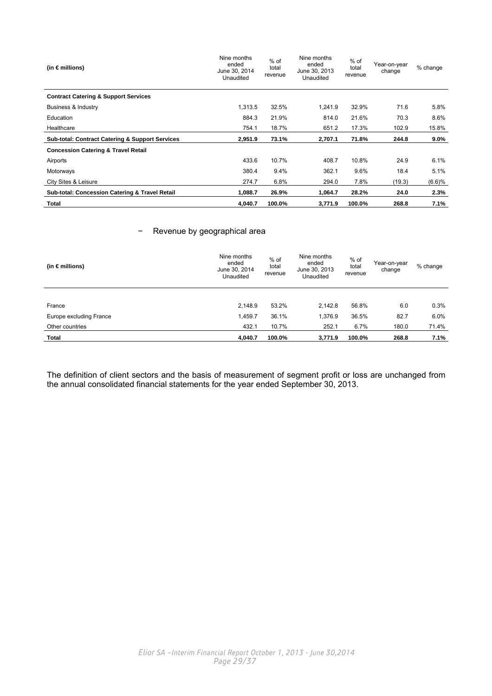| (in $\epsilon$ millions)                                   | Nine months<br>ended<br>June 30, 2014<br>Unaudited | $%$ of<br>total<br>revenue | Nine months<br>ended<br>June 30, 2013<br>Unaudited | % of<br>total<br>revenue | Year-on-year<br>change | % change |
|------------------------------------------------------------|----------------------------------------------------|----------------------------|----------------------------------------------------|--------------------------|------------------------|----------|
| <b>Contract Catering &amp; Support Services</b>            |                                                    |                            |                                                    |                          |                        |          |
| Business & Industry                                        | 1,313.5                                            | 32.5%                      | 1.241.9                                            | 32.9%                    | 71.6                   | 5.8%     |
| Education                                                  | 884.3                                              | 21.9%                      | 814.0                                              | 21.6%                    | 70.3                   | 8.6%     |
| Healthcare                                                 | 754.1                                              | 18.7%                      | 651.2                                              | 17.3%                    | 102.9                  | 15.8%    |
| <b>Sub-total: Contract Catering &amp; Support Services</b> | 2,951.9                                            | 73.1%                      | 2,707.1                                            | 71.8%                    | 244.8                  | $9.0\%$  |
| <b>Concession Catering &amp; Travel Retail</b>             |                                                    |                            |                                                    |                          |                        |          |
| Airports                                                   | 433.6                                              | 10.7%                      | 408.7                                              | 10.8%                    | 24.9                   | 6.1%     |
| Motorways                                                  | 380.4                                              | 9.4%                       | 362.1                                              | 9.6%                     | 18.4                   | 5.1%     |
| City Sites & Leisure                                       | 274.7                                              | 6.8%                       | 294.0                                              | 7.8%                     | (19.3)                 | (6.6)%   |
| <b>Sub-total: Concession Catering &amp; Travel Retail</b>  | 1,088.7                                            | 26.9%                      | 1,064.7                                            | 28.2%                    | 24.0                   | 2.3%     |
|                                                            |                                                    |                            |                                                    |                          |                        |          |

### − Revenue by geographical area

| (in $\epsilon$ millions) | Nine months<br>ended<br>June 30, 2014<br>Unaudited | $%$ of<br>total<br>revenue | Nine months<br>ended<br>June 30, 2013<br>Unaudited | % of<br>total<br>revenue | Year-on-year<br>change | % change |
|--------------------------|----------------------------------------------------|----------------------------|----------------------------------------------------|--------------------------|------------------------|----------|
|                          |                                                    |                            |                                                    |                          |                        |          |
| France                   | 2,148.9                                            | 53.2%                      | 2.142.8                                            | 56.8%                    | 6.0                    | 0.3%     |
| Europe excluding France  | 1,459.7                                            | 36.1%                      | 1.376.9                                            | 36.5%                    | 82.7                   | 6.0%     |
| Other countries          | 432.1                                              | 10.7%                      | 252.1                                              | 6.7%                     | 180.0                  | 71.4%    |
| Total                    | 4,040.7                                            | 100.0%                     | 3,771.9                                            | 100.0%                   | 268.8                  | 7.1%     |

The definition of client sectors and the basis of measurement of segment profit or loss are unchanged from the annual consolidated financial statements for the year ended September 30, 2013.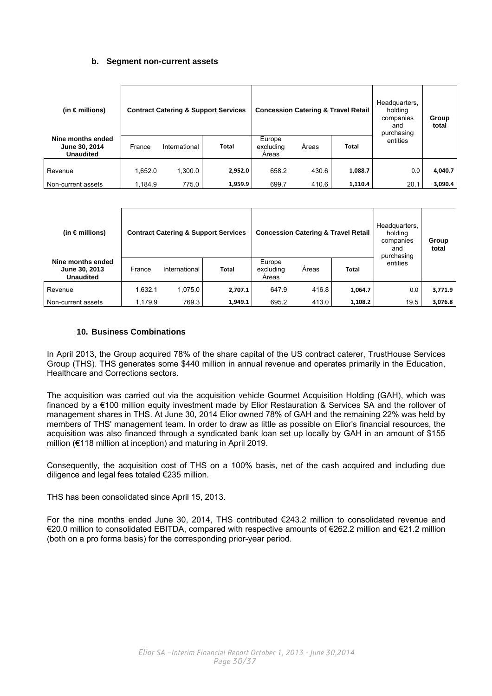### **b. Segment non-current assets**

<span id="page-29-0"></span>

| (in $\epsilon$ millions)                               |         |               | <b>Contract Catering &amp; Support Services</b> | Headquarters,<br><b>Concession Catering &amp; Travel Retail</b><br>holding<br>companies<br>and<br>purchasing |       | Group<br>total |          |         |
|--------------------------------------------------------|---------|---------------|-------------------------------------------------|--------------------------------------------------------------------------------------------------------------|-------|----------------|----------|---------|
| Nine months ended<br>June 30, 2014<br><b>Unaudited</b> | France  | International | <b>Total</b>                                    | Europe<br>excluding<br>Areas                                                                                 | Areas | Total          | entities |         |
| Revenue                                                | 1.652.0 | 1,300.0       | 2,952.0                                         | 658.2                                                                                                        | 430.6 | 1,088.7        | 0.0      | 4,040.7 |
| Non-current assets                                     | 1,184.9 | 775.0         | 1,959.9                                         | 699.7                                                                                                        | 410.6 | 1,110.4        | 20.1     | 3,090.4 |

| (in $\epsilon$ millions)                               |         |               | <b>Contract Catering &amp; Support Services</b> | <b>Concession Catering &amp; Travel Retail</b> |       | Headquarters,<br>holding<br>companies<br>and<br>purchasing | Group<br>total |         |
|--------------------------------------------------------|---------|---------------|-------------------------------------------------|------------------------------------------------|-------|------------------------------------------------------------|----------------|---------|
| Nine months ended<br>June 30, 2013<br><b>Unaudited</b> | France  | International | <b>Total</b>                                    | Europe<br>excluding<br>Areas                   | Areas | <b>Total</b>                                               | entities       |         |
| Revenue                                                | 1,632.1 | 1,075.0       | 2,707.1                                         | 647.9                                          | 416.8 | 1,064.7                                                    | 0.0            | 3,771.9 |
| Non-current assets                                     | 1,179.9 | 769.3         | 1,949.1                                         | 695.2                                          | 413.0 | 1,108.2                                                    | 19.5           | 3,076.8 |

### **10. Business Combinations**

In April 2013, the Group acquired 78% of the share capital of the US contract caterer, TrustHouse Services Group (THS). THS generates some \$440 million in annual revenue and operates primarily in the Education, Healthcare and Corrections sectors.

The acquisition was carried out via the acquisition vehicle Gourmet Acquisition Holding (GAH), which was financed by a €100 million equity investment made by Elior Restauration & Services SA and the rollover of management shares in THS. At June 30, 2014 Elior owned 78% of GAH and the remaining 22% was held by members of THS' management team. In order to draw as little as possible on Elior's financial resources, the acquisition was also financed through a syndicated bank loan set up locally by GAH in an amount of \$155 million (€118 million at inception) and maturing in April 2019.

Consequently, the acquisition cost of THS on a 100% basis, net of the cash acquired and including due diligence and legal fees totaled €235 million.

THS has been consolidated since April 15, 2013.

For the nine months ended June 30, 2014, THS contributed €243.2 million to consolidated revenue and €20.0 million to consolidated EBITDA, compared with respective amounts of €262.2 million and €21.2 million (both on a pro forma basis) for the corresponding prior-year period.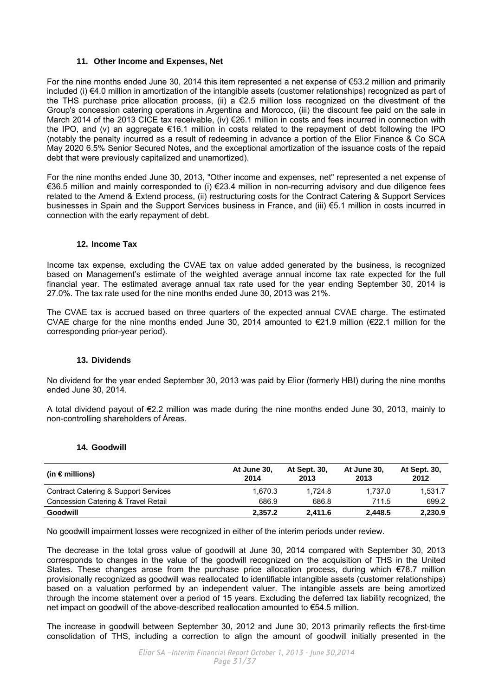### **11. Other Income and Expenses, Net**

<span id="page-30-0"></span>For the nine months ended June 30, 2014 this item represented a net expense of €53.2 million and primarily included (i) €4.0 million in amortization of the intangible assets (customer relationships) recognized as part of the THS purchase price allocation process, (ii) a  $\epsilon$ 2.5 million loss recognized on the divestment of the Group's concession catering operations in Argentina and Morocco, (iii) the discount fee paid on the sale in March 2014 of the 2013 CICE tax receivable, (iv) €26.1 million in costs and fees incurred in connection with the IPO, and (v) an aggregate €16.1 million in costs related to the repayment of debt following the IPO (notably the penalty incurred as a result of redeeming in advance a portion of the Elior Finance & Co SCA May 2020 6.5% Senior Secured Notes, and the exceptional amortization of the issuance costs of the repaid debt that were previously capitalized and unamortized).

For the nine months ended June 30, 2013, "Other income and expenses, net" represented a net expense of €36.5 million and mainly corresponded to (i) €23.4 million in non-recurring advisory and due diligence fees related to the Amend & Extend process, (ii) restructuring costs for the Contract Catering & Support Services businesses in Spain and the Support Services business in France, and (iii) €5.1 million in costs incurred in connection with the early repayment of debt.

### **12. Income Tax**

Income tax expense, excluding the CVAE tax on value added generated by the business, is recognized based on Management's estimate of the weighted average annual income tax rate expected for the full financial year. The estimated average annual tax rate used for the year ending September 30, 2014 is 27.0%. The tax rate used for the nine months ended June 30, 2013 was 21%.

The CVAE tax is accrued based on three quarters of the expected annual CVAE charge. The estimated CVAE charge for the nine months ended June 30, 2014 amounted to  $\epsilon$ 21.9 million ( $\epsilon$ 22.1 million for the corresponding prior-year period).

### **13. Dividends**

No dividend for the year ended September 30, 2013 was paid by Elior (formerly HBI) during the nine months ended June 30, 2014.

A total dividend payout of €2.2 million was made during the nine months ended June 30, 2013, mainly to non-controlling shareholders of Áreas.

### **14. Goodwill**

| (in $\epsilon$ millions)             | At June 30,<br>2014 | At Sept. 30,<br>2013 | At June 30,<br>2013 | At Sept. 30,<br>2012 |
|--------------------------------------|---------------------|----------------------|---------------------|----------------------|
| Contract Catering & Support Services | 1.670.3             | 1.724.8              | 1.737.0             | 1.531.7              |
| Concession Catering & Travel Retail  | 686.9               | 686.8                | 711.5               | 699.2                |
| <b>Goodwill</b>                      | 2,357.2             | 2.411.6              | 2,448.5             | 2,230.9              |

No goodwill impairment losses were recognized in either of the interim periods under review.

The decrease in the total gross value of goodwill at June 30, 2014 compared with September 30, 2013 corresponds to changes in the value of the goodwill recognized on the acquisition of THS in the United States. These changes arose from the purchase price allocation process, during which €78.7 million provisionally recognized as goodwill was reallocated to identifiable intangible assets (customer relationships) based on a valuation performed by an independent valuer. The intangible assets are being amortized through the income statement over a period of 15 years. Excluding the deferred tax liability recognized, the net impact on goodwill of the above-described reallocation amounted to €54.5 million.

The increase in goodwill between September 30, 2012 and June 30, 2013 primarily reflects the first-time consolidation of THS, including a correction to align the amount of goodwill initially presented in the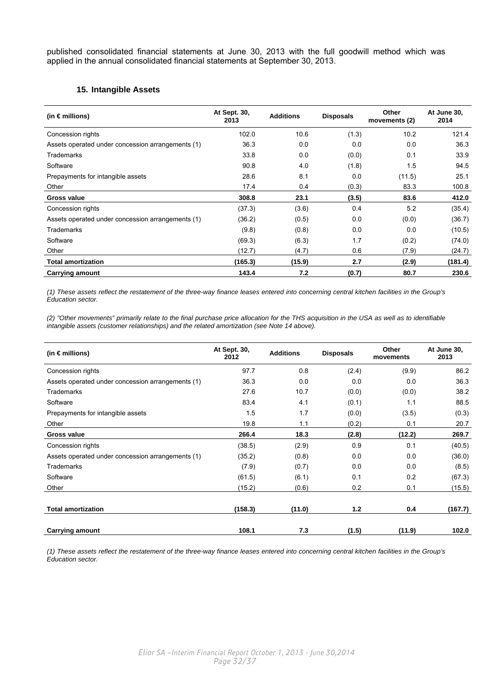<span id="page-31-0"></span>published consolidated financial statements at June 30, 2013 with the full goodwill method which was applied in the annual consolidated financial statements at September 30, 2013.

### **15. Intangible Assets**

| (in $\epsilon$ millions)                          | At Sept. 30,<br>2013 | <b>Additions</b> | <b>Disposals</b> | Other<br>movements (2) | At June 30,<br>2014 |
|---------------------------------------------------|----------------------|------------------|------------------|------------------------|---------------------|
| Concession rights                                 | 102.0                | 10.6             | (1.3)            | 10.2                   | 121.4               |
| Assets operated under concession arrangements (1) | 36.3                 | 0.0              | 0.0              | 0.0                    | 36.3                |
| <b>Trademarks</b>                                 | 33.8                 | 0.0              | (0.0)            | 0.1                    | 33.9                |
| Software                                          | 90.8                 | 4.0              | (1.8)            | 1.5                    | 94.5                |
| Prepayments for intangible assets                 | 28.6                 | 8.1              | 0.0              | (11.5)                 | 25.1                |
| Other                                             | 17.4                 | 0.4              | (0.3)            | 83.3                   | 100.8               |
| <b>Gross value</b>                                | 308.8                | 23.1             | (3.5)            | 83.6                   | 412.0               |
| Concession rights                                 | (37.3)               | (3.6)            | 0.4              | 5.2                    | (35.4)              |
| Assets operated under concession arrangements (1) | (36.2)               | (0.5)            | 0.0              | (0.0)                  | (36.7)              |
| <b>Trademarks</b>                                 | (9.8)                | (0.8)            | 0.0              | 0.0                    | (10.5)              |
| Software                                          | (69.3)               | (6.3)            | 1.7              | (0.2)                  | (74.0)              |
| Other                                             | (12.7)               | (4.7)            | 0.6              | (7.9)                  | (24.7)              |
| <b>Total amortization</b>                         | (165.3)              | (15.9)           | 2.7              | (2.9)                  | (181.4)             |
| <b>Carrying amount</b>                            | 143.4                | 7.2              | (0.7)            | 80.7                   | 230.6               |

*(1) These assets reflect the restatement of the three-way finance leases entered into concerning central kitchen facilities in the Group's Education sector.* 

*(2) "Other movements" primarily relate to the final purchase price allocation for the THS acquisition in the USA as well as to identifiable intangible assets (customer relationships) and the related amortization (see Note 14 above).*

| (in $\epsilon$ millions)                          | At Sept. 30,<br>2012 | <b>Additions</b> | <b>Disposals</b> | Other<br>movements | At June 30,<br>2013 |
|---------------------------------------------------|----------------------|------------------|------------------|--------------------|---------------------|
| Concession rights                                 | 97.7                 | 0.8              | (2.4)            | (9.9)              | 86.2                |
| Assets operated under concession arrangements (1) | 36.3                 | 0.0              | 0.0              | 0.0                | 36.3                |
| <b>Trademarks</b>                                 | 27.6                 | 10.7             | (0.0)            | (0.0)              | 38.2                |
| Software                                          | 83.4                 | 4.1              | (0.1)            | 1.1                | 88.5                |
| Prepayments for intangible assets                 | 1.5                  | 1.7              | (0.0)            | (3.5)              | (0.3)               |
| Other                                             | 19.8                 | 1.1              | (0.2)            | 0.1                | 20.7                |
| Gross value                                       | 266.4                | 18.3             | (2.8)            | (12.2)             | 269.7               |
| Concession rights                                 | (38.5)               | (2.9)            | 0.9              | 0.1                | (40.5)              |
| Assets operated under concession arrangements (1) | (35.2)               | (0.8)            | 0.0              | 0.0                | (36.0)              |
| Trademarks                                        | (7.9)                | (0.7)            | 0.0              | 0.0                | (8.5)               |
| Software                                          | (61.5)               | (6.1)            | 0.1              | 0.2                | (67.3)              |
| Other                                             | (15.2)               | (0.6)            | 0.2              | 0.1                | (15.5)              |
|                                                   |                      |                  |                  |                    |                     |
| <b>Total amortization</b>                         | (158.3)              | (11.0)           | 1.2              | 0.4                | (167.7)             |
| <b>Carrying amount</b>                            | 108.1                | 7.3              | (1.5)            | (11.9)             | 102.0               |

*(1) These assets reflect the restatement of the three-way finance leases entered into concerning central kitchen facilities in the Group's Education sector.*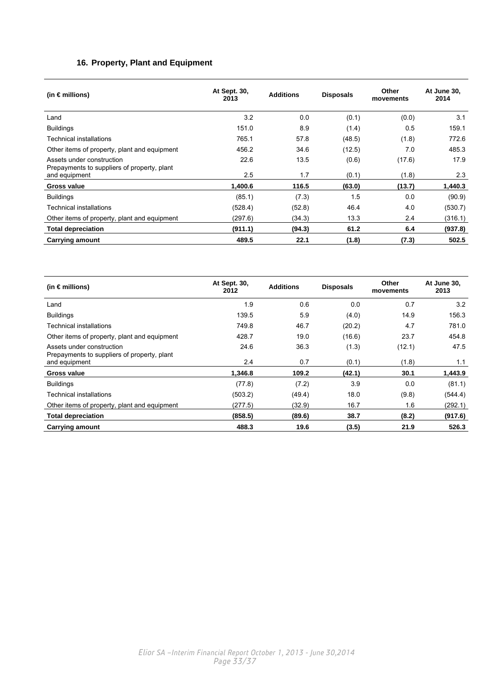### **16. Property, Plant and Equipment**

<span id="page-32-0"></span>

| (in $\epsilon$ millions)                                                 | At Sept. 30,<br>2013 | <b>Additions</b> | <b>Disposals</b> | Other<br>movements | At June 30,<br>2014 |
|--------------------------------------------------------------------------|----------------------|------------------|------------------|--------------------|---------------------|
| Land                                                                     | 3.2                  | 0.0              | (0.1)            | (0.0)              | 3.1                 |
| <b>Buildings</b>                                                         | 151.0                | 8.9              | (1.4)            | 0.5                | 159.1               |
| Technical installations                                                  | 765.1                | 57.8             | (48.5)           | (1.8)              | 772.6               |
| Other items of property, plant and equipment                             | 456.2                | 34.6             | (12.5)           | 7.0                | 485.3               |
| Assets under construction<br>Prepayments to suppliers of property, plant | 22.6                 | 13.5             | (0.6)            | (17.6)             | 17.9                |
| and equipment                                                            | 2.5                  | 1.7              | (0.1)            | (1.8)              | 2.3                 |
| Gross value                                                              | 1,400.6              | 116.5            | (63.0)           | (13.7)             | 1,440.3             |
| <b>Buildings</b>                                                         | (85.1)               | (7.3)            | 1.5              | 0.0                | (90.9)              |
| Technical installations                                                  | (528.4)              | (52.8)           | 46.4             | 4.0                | (530.7)             |
| Other items of property, plant and equipment                             | (297.6)              | (34.3)           | 13.3             | 2.4                | (316.1)             |
| <b>Total depreciation</b>                                                | (911.1)              | (94.3)           | 61.2             | 6.4                | (937.8)             |
| <b>Carrying amount</b>                                                   | 489.5                | 22.1             | (1.8)            | (7.3)              | 502.5               |

| (in $\epsilon$ millions)                                                 | At Sept. 30,<br>2012 | <b>Additions</b> | <b>Disposals</b> | Other<br>movements | At June 30,<br>2013 |
|--------------------------------------------------------------------------|----------------------|------------------|------------------|--------------------|---------------------|
| Land                                                                     | 1.9                  | 0.6              | 0.0              | 0.7                | 3.2                 |
| <b>Buildings</b>                                                         | 139.5                | 5.9              | (4.0)            | 14.9               | 156.3               |
| Technical installations                                                  | 749.8                | 46.7             | (20.2)           | 4.7                | 781.0               |
| Other items of property, plant and equipment                             | 428.7                | 19.0             | (16.6)           | 23.7               | 454.8               |
| Assets under construction<br>Prepayments to suppliers of property, plant | 24.6                 | 36.3             | (1.3)            | (12.1)             | 47.5                |
| and equipment                                                            | 2.4                  | 0.7              | (0.1)            | (1.8)              | 1.1                 |
| Gross value                                                              | 1.346.8              | 109.2            | (42.1)           | 30.1               | 1,443.9             |
| <b>Buildings</b>                                                         | (77.8)               | (7.2)            | 3.9              | 0.0                | (81.1)              |
| Technical installations                                                  | (503.2)              | (49.4)           | 18.0             | (9.8)              | (544.4)             |
| Other items of property, plant and equipment                             | (277.5)              | (32.9)           | 16.7             | 1.6                | (292.1)             |
| <b>Total depreciation</b>                                                | (858.5)              | (89.6)           | 38.7             | (8.2)              | (917.6)             |
| <b>Carrying amount</b>                                                   | 488.3                | 19.6             | (3.5)            | 21.9               | 526.3               |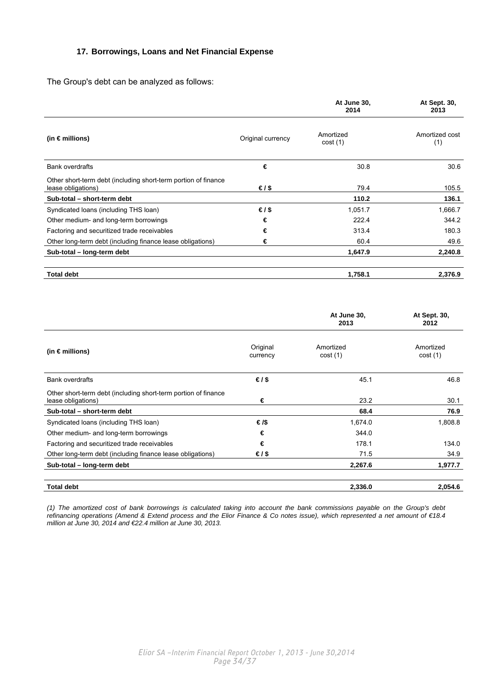### <span id="page-33-0"></span>**17. Borrowings, Loans and Net Financial Expense**

The Group's debt can be analyzed as follows:

|                                                                                      |                   | At June 30,<br>2014  | At Sept. 30,<br>2013  |
|--------------------------------------------------------------------------------------|-------------------|----------------------|-----------------------|
| (in €millions)                                                                       | Original currency | Amortized<br>cost(1) | Amortized cost<br>(1) |
| <b>Bank overdrafts</b>                                                               | €                 | 30.8                 | 30.6                  |
| Other short-term debt (including short-term portion of finance<br>lease obligations) | €/\$              | 79.4                 | 105.5                 |
| Sub-total - short-term debt                                                          |                   | 110.2                | 136.1                 |
| Syndicated Ioans (including THS Ioan)                                                | €/\$              | 1,051.7              | 1,666.7               |
| Other medium- and long-term borrowings                                               | €                 | 222.4                | 344.2                 |
| Factoring and securitized trade receivables                                          | €                 | 313.4                | 180.3                 |
| Other long-term debt (including finance lease obligations)                           | €                 | 60.4                 | 49.6                  |
| Sub-total - long-term debt                                                           |                   | 1,647.9              | 2,240.8               |
| <b>Total debt</b>                                                                    |                   | 1,758.1              | 2,376.9               |

|                                                                                      |                      | At June 30,<br>2013  | At Sept. 30,<br>2012 |
|--------------------------------------------------------------------------------------|----------------------|----------------------|----------------------|
| (in $\epsilon$ millions)                                                             | Original<br>currency | Amortized<br>cost(1) | Amortized<br>cost(1) |
| <b>Bank overdrafts</b>                                                               | €/\$                 | 45.1                 | 46.8                 |
| Other short-term debt (including short-term portion of finance<br>lease obligations) | €                    | 23.2                 | 30.1                 |
| Sub-total - short-term debt                                                          |                      | 68.4                 | 76.9                 |
| Syndicated Ioans (including THS Ioan)                                                | €/\$                 | 1,674.0              | 1,808.8              |
| Other medium- and long-term borrowings                                               | €                    | 344.0                |                      |
| Factoring and securitized trade receivables                                          | €                    | 178.1                | 134.0                |
| Other long-term debt (including finance lease obligations)                           | €/\$                 | 71.5                 | 34.9                 |
| Sub-total - long-term debt                                                           |                      | 2,267.6              | 1,977.7              |
| <b>Total debt</b>                                                                    |                      | 2,336.0              | 2,054.6              |

*(1) The amortized cost of bank borrowings is calculated taking into account the bank commissions payable on the Group's debt refinancing operations (Amend & Extend process and the Elior Finance & Co notes issue), which represented a net amount of €18.4 million at June 30, 2014 and €22.4 million at June 30, 2013.*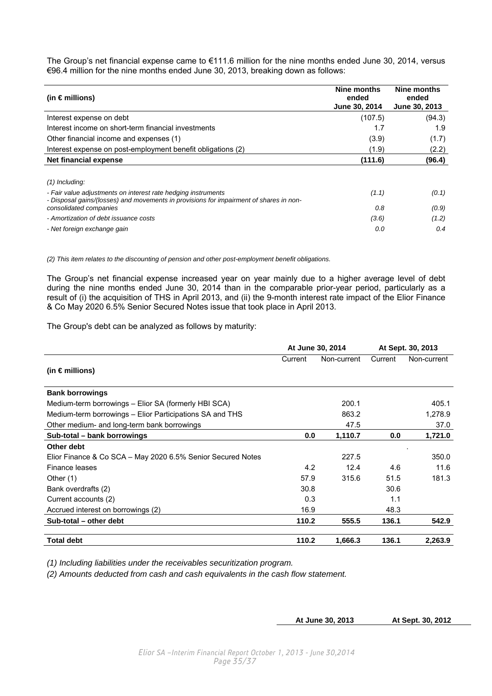The Group's net financial expense came to €111.6 million for the nine months ended June 30, 2014, versus €96.4 million for the nine months ended June 30, 2013, breaking down as follows:

| (in $\epsilon$ millions)                                                                                                                                | Nine months<br>ended<br>June 30, 2014 | Nine months<br>ended<br>June 30, 2013 |
|---------------------------------------------------------------------------------------------------------------------------------------------------------|---------------------------------------|---------------------------------------|
| Interest expense on debt                                                                                                                                | (107.5)                               | (94.3)                                |
| Interest income on short-term financial investments                                                                                                     | 1.7                                   | 1.9                                   |
| Other financial income and expenses (1)                                                                                                                 | (3.9)                                 | (1.7)                                 |
| Interest expense on post-employment benefit obligations (2)                                                                                             | (1.9)                                 | (2.2)                                 |
| Net financial expense                                                                                                                                   | (111.6)                               | (96.4)                                |
|                                                                                                                                                         |                                       |                                       |
| $(1)$ Including:                                                                                                                                        |                                       |                                       |
| - Fair value adjustments on interest rate hedging instruments<br>- Disposal gains/(losses) and movements in provisions for impairment of shares in non- | (1.1)                                 | (0.1)                                 |
| consolidated companies                                                                                                                                  | 0.8                                   | (0.9)                                 |
| - Amortization of debt issuance costs                                                                                                                   | (3.6)                                 | (1.2)                                 |
| - Net foreign exchange gain                                                                                                                             | 0.0                                   | 0.4                                   |

*(2) This item relates to the discounting of pension and other post-employment benefit obligations.* 

The Group's net financial expense increased year on year mainly due to a higher average level of debt during the nine months ended June 30, 2014 than in the comparable prior-year period, particularly as a result of (i) the acquisition of THS in April 2013, and (ii) the 9-month interest rate impact of the Elior Finance & Co May 2020 6.5% Senior Secured Notes issue that took place in April 2013.

The Group's debt can be analyzed as follows by maturity:

|                                                             | At June 30, 2014 |             | At Sept. 30, 2013 |             |
|-------------------------------------------------------------|------------------|-------------|-------------------|-------------|
|                                                             | Current          | Non-current | Current           | Non-current |
| (in $\epsilon$ millions)                                    |                  |             |                   |             |
| <b>Bank borrowings</b>                                      |                  |             |                   |             |
| Medium-term borrowings – Elior SA (formerly HBI SCA)        |                  | 200.1       |                   | 405.1       |
| Medium-term borrowings – Elior Participations SA and THS    |                  | 863.2       |                   | 1,278.9     |
| Other medium- and long-term bank borrowings                 |                  | 47.5        |                   | 37.0        |
| Sub-total – bank borrowings                                 | 0.0              | 1,110.7     | 0.0               | 1,721.0     |
| Other debt                                                  |                  |             |                   |             |
| Elior Finance & Co SCA - May 2020 6.5% Senior Secured Notes |                  | 227.5       |                   | 350.0       |
| Finance leases                                              | 4.2              | 12.4        | 4.6               | 11.6        |
| Other $(1)$                                                 | 57.9             | 315.6       | 51.5              | 181.3       |
| Bank overdrafts (2)                                         | 30.8             |             | 30.6              |             |
| Current accounts (2)                                        | 0.3              |             | 1.1               |             |
| Accrued interest on borrowings (2)                          | 16.9             |             | 48.3              |             |
| Sub-total - other debt                                      | 110.2            | 555.5       | 136.1             | 542.9       |
| <b>Total debt</b>                                           | 110.2            | 1,666.3     | 136.1             | 2,263.9     |

*(1) Including liabilities under the receivables securitization program.* 

*(2) Amounts deducted from cash and cash equivalents in the cash flow statement.* 

**At June 30, 2013 At Sept. 30, 2012**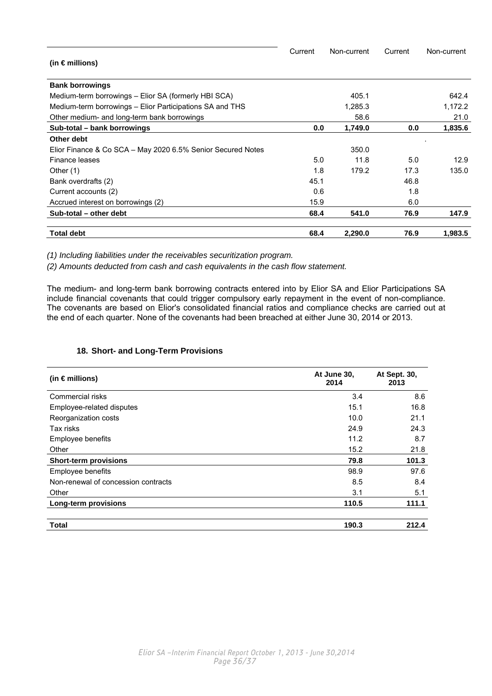<span id="page-35-0"></span>

|                                                             | Current | Non-current | Current | Non-current |
|-------------------------------------------------------------|---------|-------------|---------|-------------|
| (in $\epsilon$ millions)                                    |         |             |         |             |
| <b>Bank borrowings</b>                                      |         |             |         |             |
| Medium-term borrowings – Elior SA (formerly HBI SCA)        |         | 405.1       |         | 642.4       |
| Medium-term borrowings – Elior Participations SA and THS    |         | 1,285.3     |         | 1,172.2     |
| Other medium- and long-term bank borrowings                 |         | 58.6        |         | 21.0        |
| Sub-total - bank borrowings                                 | 0.0     | 1,749.0     | 0.0     | 1,835.6     |
| Other debt                                                  |         |             |         |             |
| Elior Finance & Co SCA – May 2020 6.5% Senior Secured Notes |         | 350.0       |         |             |
| Finance leases                                              | 5.0     | 11.8        | 5.0     | 12.9        |
| Other $(1)$                                                 | 1.8     | 179.2       | 17.3    | 135.0       |
| Bank overdrafts (2)                                         | 45.1    |             | 46.8    |             |
| Current accounts (2)                                        | 0.6     |             | 1.8     |             |
| Accrued interest on borrowings (2)                          | 15.9    |             | 6.0     |             |
| Sub-total - other debt                                      | 68.4    | 541.0       | 76.9    | 147.9       |
| <b>Total debt</b>                                           | 68.4    | 2,290.0     | 76.9    | 1,983.5     |

*(1) Including liabilities under the receivables securitization program.* 

*(2) Amounts deducted from cash and cash equivalents in the cash flow statement.* 

The medium- and long-term bank borrowing contracts entered into by Elior SA and Elior Participations SA include financial covenants that could trigger compulsory early repayment in the event of non-compliance. The covenants are based on Elior's consolidated financial ratios and compliance checks are carried out at the end of each quarter. None of the covenants had been breached at either June 30, 2014 or 2013.

### **18. Short- and Long-Term Provisions**

| (in $\epsilon$ millions)            | At June 30,<br>2014 | At Sept. 30,<br>2013 |
|-------------------------------------|---------------------|----------------------|
| Commercial risks                    | 3.4                 | 8.6                  |
| Employee-related disputes           | 15.1                | 16.8                 |
| Reorganization costs                | 10.0                | 21.1                 |
| Tax risks                           | 24.9                | 24.3                 |
| Employee benefits                   | 11.2                | 8.7                  |
| Other                               | 15.2                | 21.8                 |
| <b>Short-term provisions</b>        | 79.8                | 101.3                |
| Employee benefits                   | 98.9                | 97.6                 |
| Non-renewal of concession contracts | 8.5                 | 8.4                  |
| Other                               | 3.1                 | 5.1                  |
| Long-term provisions                | 110.5               | 111.1                |
| <b>Total</b>                        | 190.3               | 212.4                |